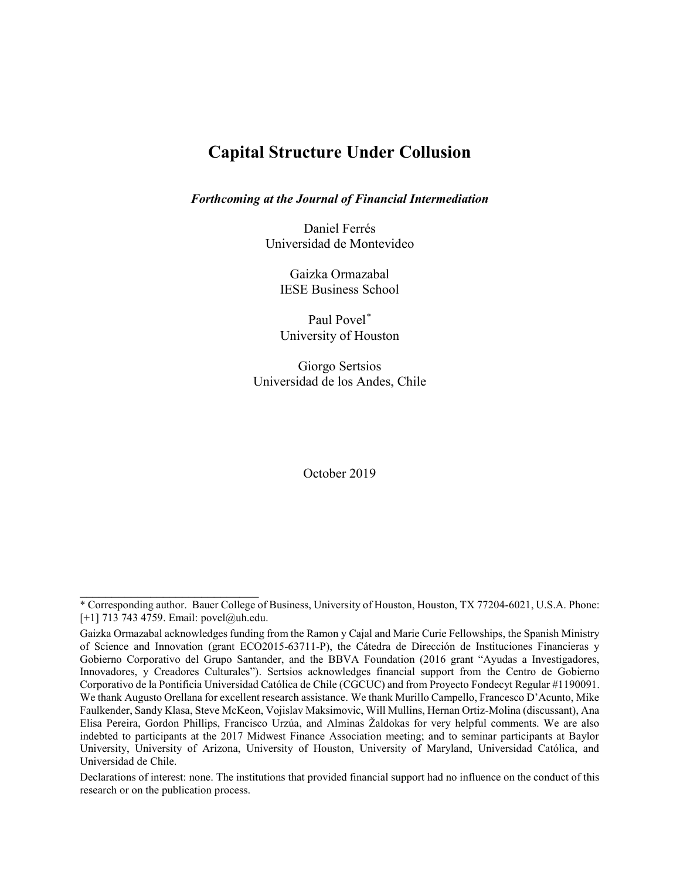# **Capital Structure Under Collusion**

*Forthcoming at the Journal of Financial Intermediation*

Daniel Ferrés Universidad de Montevideo

Gaizka Ormazabal IESE Business School

Paul Povel\* University of Houston

Giorgo Sertsios Universidad de los Andes, Chile

October 2019

 $\mathcal{L}_\text{max}$  , and the set of the set of the set of the set of the set of the set of the set of the set of the set of the set of the set of the set of the set of the set of the set of the set of the set of the set of the

<sup>\*</sup> Corresponding author. Bauer College of Business, University of Houston, Houston, TX 77204-6021, U.S.A. Phone: [+1] 713 743 4759. Email: povel@uh.edu.

Gaizka Ormazabal acknowledges funding from the Ramon y Cajal and Marie Curie Fellowships, the Spanish Ministry of Science and Innovation (grant ECO2015-63711-P), the Cátedra de Dirección de Instituciones Financieras y Gobierno Corporativo del Grupo Santander, and the BBVA Foundation (2016 grant "Ayudas a Investigadores, Innovadores, y Creadores Culturales"). Sertsios acknowledges financial support from the Centro de Gobierno Corporativo de la Pontificia Universidad Católica de Chile (CGCUC) and from Proyecto Fondecyt Regular #1190091. We thank Augusto Orellana for excellent research assistance. We thank Murillo Campello, Francesco D'Acunto, Mike Faulkender, Sandy Klasa, Steve McKeon, Vojislav Maksimovic, Will Mullins, Hernan Ortiz-Molina (discussant), Ana Elisa Pereira, Gordon Phillips, Francisco Urzúa, and Alminas Žaldokas for very helpful comments. We are also indebted to participants at the 2017 Midwest Finance Association meeting; and to seminar participants at Baylor University, University of Arizona, University of Houston, University of Maryland, Universidad Católica, and Universidad de Chile.

Declarations of interest: none. The institutions that provided financial support had no influence on the conduct of this research or on the publication process.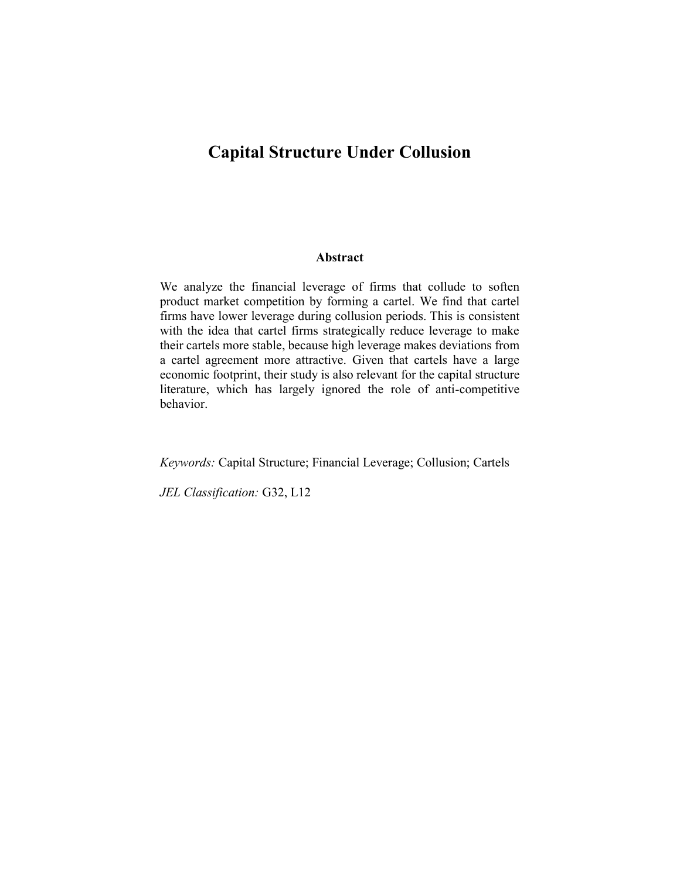# **Capital Structure Under Collusion**

#### **Abstract**

We analyze the financial leverage of firms that collude to soften product market competition by forming a cartel. We find that cartel firms have lower leverage during collusion periods. This is consistent with the idea that cartel firms strategically reduce leverage to make their cartels more stable, because high leverage makes deviations from a cartel agreement more attractive. Given that cartels have a large economic footprint, their study is also relevant for the capital structure literature, which has largely ignored the role of anti-competitive behavior.

*Keywords:* Capital Structure; Financial Leverage; Collusion; Cartels

*JEL Classification:* G32, L12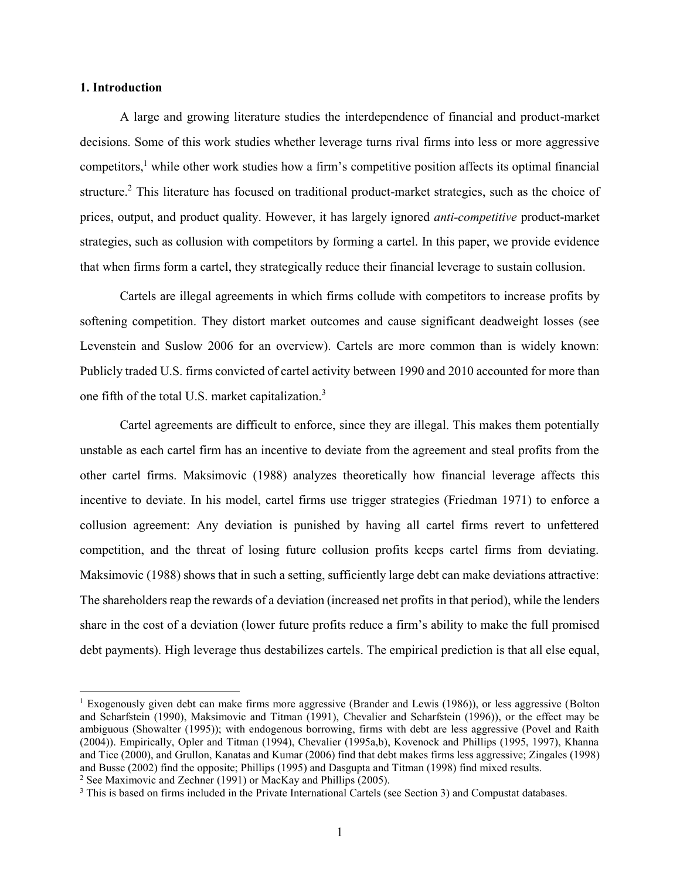#### **1. Introduction**

A large and growing literature studies the interdependence of financial and product-market decisions. Some of this work studies whether leverage turns rival firms into less or more aggressive competitors,<sup>1</sup> while other work studies how a firm's competitive position affects its optimal financial structure.<sup>2</sup> This literature has focused on traditional product-market strategies, such as the choice of prices, output, and product quality. However, it has largely ignored *anti-competitive* product-market strategies, such as collusion with competitors by forming a cartel. In this paper, we provide evidence that when firms form a cartel, they strategically reduce their financial leverage to sustain collusion.

Cartels are illegal agreements in which firms collude with competitors to increase profits by softening competition. They distort market outcomes and cause significant deadweight losses (see Levenstein and Suslow 2006 for an overview). Cartels are more common than is widely known: Publicly traded U.S. firms convicted of cartel activity between 1990 and 2010 accounted for more than one fifth of the total U.S. market capitalization.<sup>3</sup>

Cartel agreements are difficult to enforce, since they are illegal. This makes them potentially unstable as each cartel firm has an incentive to deviate from the agreement and steal profits from the other cartel firms. Maksimovic (1988) analyzes theoretically how financial leverage affects this incentive to deviate. In his model, cartel firms use trigger strategies (Friedman 1971) to enforce a collusion agreement: Any deviation is punished by having all cartel firms revert to unfettered competition, and the threat of losing future collusion profits keeps cartel firms from deviating. Maksimovic (1988) shows that in such a setting, sufficiently large debt can make deviations attractive: The shareholders reap the rewards of a deviation (increased net profits in that period), while the lenders share in the cost of a deviation (lower future profits reduce a firm's ability to make the full promised debt payments). High leverage thus destabilizes cartels. The empirical prediction is that all else equal,

<sup>&</sup>lt;sup>1</sup> Exogenously given debt can make firms more aggressive (Brander and Lewis (1986)), or less aggressive (Bolton and Scharfstein (1990), Maksimovic and Titman (1991), Chevalier and Scharfstein (1996)), or the effect may be ambiguous (Showalter (1995)); with endogenous borrowing, firms with debt are less aggressive (Povel and Raith (2004)). Empirically, Opler and Titman (1994), Chevalier (1995a,b), Kovenock and Phillips (1995, 1997), Khanna and Tice (2000), and Grullon, Kanatas and Kumar (2006) find that debt makes firms less aggressive; Zingales (1998) and Busse (2002) find the opposite; Phillips (1995) and Dasgupta and Titman (1998) find mixed results.

<sup>2</sup> See Maximovic and Zechner (1991) or MacKay and Phillips (2005).

<sup>&</sup>lt;sup>3</sup> This is based on firms included in the Private International Cartels (see Section 3) and Compustat databases.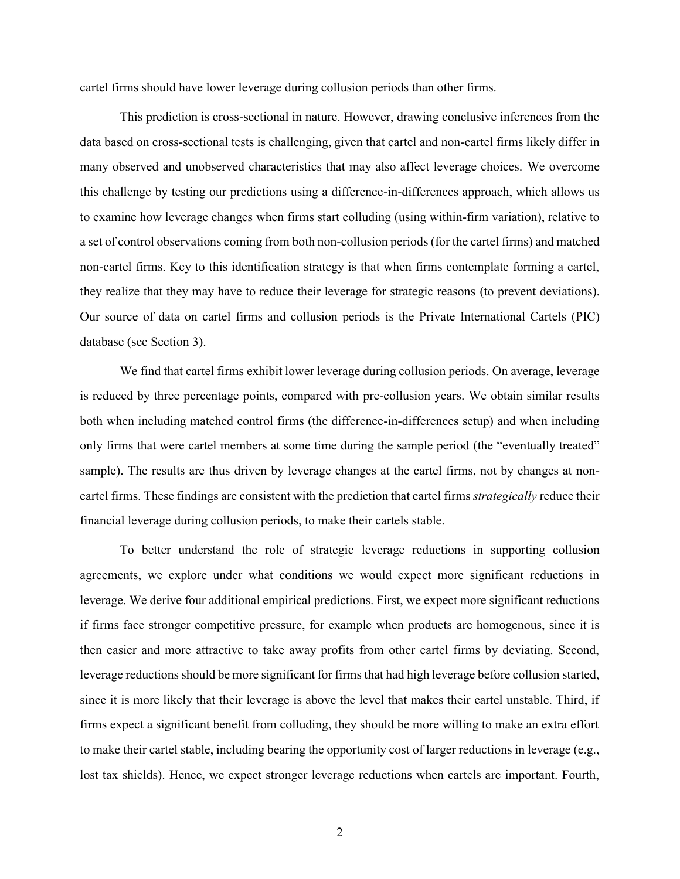cartel firms should have lower leverage during collusion periods than other firms.

This prediction is cross-sectional in nature. However, drawing conclusive inferences from the data based on cross-sectional tests is challenging, given that cartel and non-cartel firms likely differ in many observed and unobserved characteristics that may also affect leverage choices. We overcome this challenge by testing our predictions using a difference-in-differences approach, which allows us to examine how leverage changes when firms start colluding (using within-firm variation), relative to a set of control observations coming from both non-collusion periods (for the cartel firms) and matched non-cartel firms. Key to this identification strategy is that when firms contemplate forming a cartel, they realize that they may have to reduce their leverage for strategic reasons (to prevent deviations). Our source of data on cartel firms and collusion periods is the Private International Cartels (PIC) database (see Section 3).

We find that cartel firms exhibit lower leverage during collusion periods. On average, leverage is reduced by three percentage points, compared with pre-collusion years. We obtain similar results both when including matched control firms (the difference-in-differences setup) and when including only firms that were cartel members at some time during the sample period (the "eventually treated" sample). The results are thus driven by leverage changes at the cartel firms, not by changes at noncartel firms. These findings are consistent with the prediction that cartel firms *strategically* reduce their financial leverage during collusion periods, to make their cartels stable.

To better understand the role of strategic leverage reductions in supporting collusion agreements, we explore under what conditions we would expect more significant reductions in leverage. We derive four additional empirical predictions. First, we expect more significant reductions if firms face stronger competitive pressure, for example when products are homogenous, since it is then easier and more attractive to take away profits from other cartel firms by deviating. Second, leverage reductions should be more significant for firms that had high leverage before collusion started, since it is more likely that their leverage is above the level that makes their cartel unstable. Third, if firms expect a significant benefit from colluding, they should be more willing to make an extra effort to make their cartel stable, including bearing the opportunity cost of larger reductions in leverage (e.g., lost tax shields). Hence, we expect stronger leverage reductions when cartels are important. Fourth,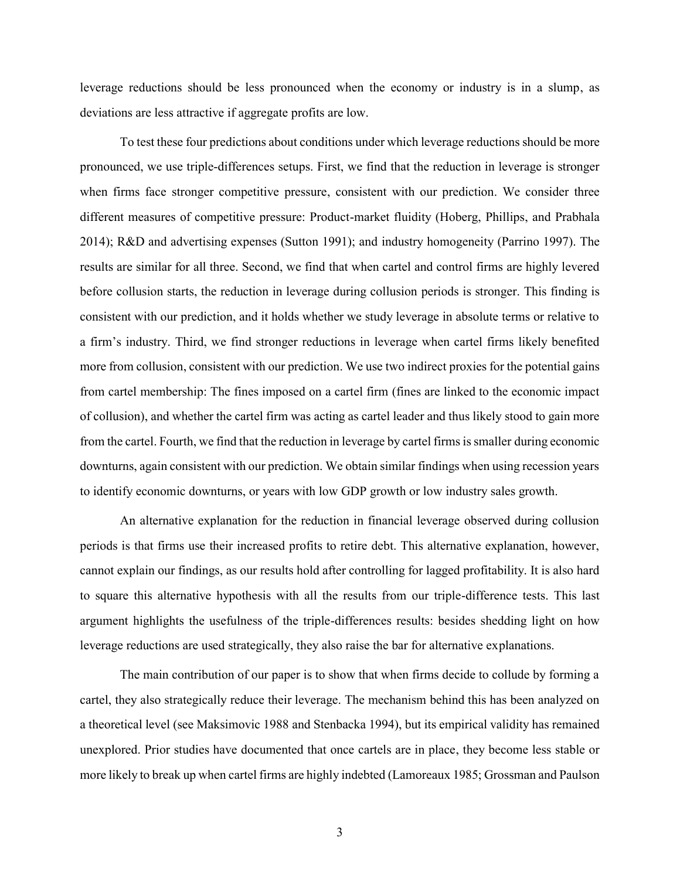leverage reductions should be less pronounced when the economy or industry is in a slump, as deviations are less attractive if aggregate profits are low.

To test these four predictions about conditions under which leverage reductions should be more pronounced, we use triple-differences setups. First, we find that the reduction in leverage is stronger when firms face stronger competitive pressure, consistent with our prediction. We consider three different measures of competitive pressure: Product-market fluidity (Hoberg, Phillips, and Prabhala 2014); R&D and advertising expenses (Sutton 1991); and industry homogeneity (Parrino 1997). The results are similar for all three. Second, we find that when cartel and control firms are highly levered before collusion starts, the reduction in leverage during collusion periods is stronger. This finding is consistent with our prediction, and it holds whether we study leverage in absolute terms or relative to a firm's industry. Third, we find stronger reductions in leverage when cartel firms likely benefited more from collusion, consistent with our prediction. We use two indirect proxies for the potential gains from cartel membership: The fines imposed on a cartel firm (fines are linked to the economic impact of collusion), and whether the cartel firm was acting as cartel leader and thus likely stood to gain more from the cartel. Fourth, we find that the reduction in leverage by cartel firms is smaller during economic downturns, again consistent with our prediction. We obtain similar findings when using recession years to identify economic downturns, or years with low GDP growth or low industry sales growth.

An alternative explanation for the reduction in financial leverage observed during collusion periods is that firms use their increased profits to retire debt. This alternative explanation, however, cannot explain our findings, as our results hold after controlling for lagged profitability. It is also hard to square this alternative hypothesis with all the results from our triple-difference tests. This last argument highlights the usefulness of the triple-differences results: besides shedding light on how leverage reductions are used strategically, they also raise the bar for alternative explanations.

The main contribution of our paper is to show that when firms decide to collude by forming a cartel, they also strategically reduce their leverage. The mechanism behind this has been analyzed on a theoretical level (see Maksimovic 1988 and Stenbacka 1994), but its empirical validity has remained unexplored. Prior studies have documented that once cartels are in place, they become less stable or more likely to break up when cartel firms are highly indebted (Lamoreaux 1985; Grossman and Paulson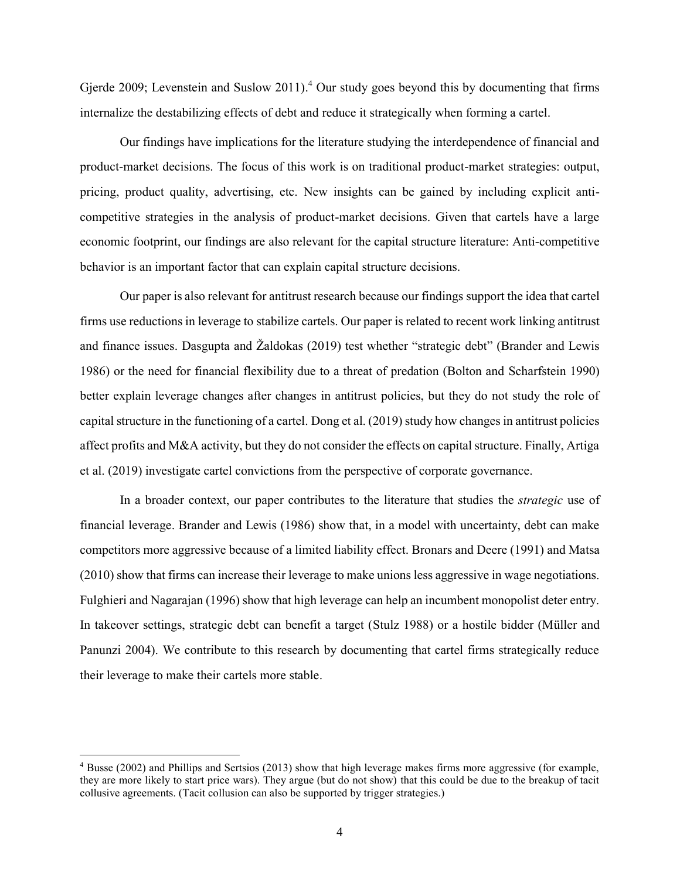Gjerde 2009; Levenstein and Suslow 2011).<sup>4</sup> Our study goes beyond this by documenting that firms internalize the destabilizing effects of debt and reduce it strategically when forming a cartel.

Our findings have implications for the literature studying the interdependence of financial and product-market decisions. The focus of this work is on traditional product-market strategies: output, pricing, product quality, advertising, etc. New insights can be gained by including explicit anticompetitive strategies in the analysis of product-market decisions. Given that cartels have a large economic footprint, our findings are also relevant for the capital structure literature: Anti-competitive behavior is an important factor that can explain capital structure decisions.

Our paper is also relevant for antitrust research because our findings support the idea that cartel firms use reductions in leverage to stabilize cartels. Our paper is related to recent work linking antitrust and finance issues. Dasgupta and Žaldokas (2019) test whether "strategic debt" (Brander and Lewis 1986) or the need for financial flexibility due to a threat of predation (Bolton and Scharfstein 1990) better explain leverage changes after changes in antitrust policies, but they do not study the role of capital structure in the functioning of a cartel. Dong et al. (2019) study how changes in antitrust policies affect profits and M&A activity, but they do not consider the effects on capital structure. Finally, Artiga et al. (2019) investigate cartel convictions from the perspective of corporate governance.

In a broader context, our paper contributes to the literature that studies the *strategic* use of financial leverage. Brander and Lewis (1986) show that, in a model with uncertainty, debt can make competitors more aggressive because of a limited liability effect. Bronars and Deere (1991) and Matsa (2010) show that firms can increase their leverage to make unions less aggressive in wage negotiations. Fulghieri and Nagarajan (1996) show that high leverage can help an incumbent monopolist deter entry. In takeover settings, strategic debt can benefit a target (Stulz 1988) or a hostile bidder (Müller and Panunzi 2004). We contribute to this research by documenting that cartel firms strategically reduce their leverage to make their cartels more stable.

<sup>4</sup> Busse (2002) and Phillips and Sertsios (2013) show that high leverage makes firms more aggressive (for example, they are more likely to start price wars). They argue (but do not show) that this could be due to the breakup of tacit collusive agreements. (Tacit collusion can also be supported by trigger strategies.)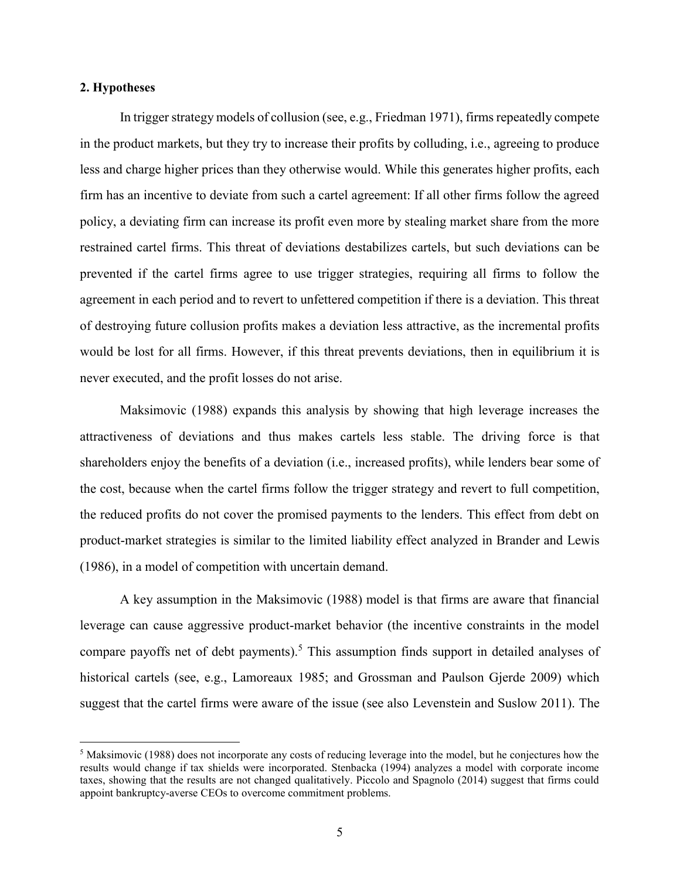#### **2. Hypotheses**

 $\overline{\phantom{a}}$ 

In trigger strategy models of collusion (see, e.g., Friedman 1971), firms repeatedly compete in the product markets, but they try to increase their profits by colluding, i.e., agreeing to produce less and charge higher prices than they otherwise would. While this generates higher profits, each firm has an incentive to deviate from such a cartel agreement: If all other firms follow the agreed policy, a deviating firm can increase its profit even more by stealing market share from the more restrained cartel firms. This threat of deviations destabilizes cartels, but such deviations can be prevented if the cartel firms agree to use trigger strategies, requiring all firms to follow the agreement in each period and to revert to unfettered competition if there is a deviation. This threat of destroying future collusion profits makes a deviation less attractive, as the incremental profits would be lost for all firms. However, if this threat prevents deviations, then in equilibrium it is never executed, and the profit losses do not arise.

Maksimovic (1988) expands this analysis by showing that high leverage increases the attractiveness of deviations and thus makes cartels less stable. The driving force is that shareholders enjoy the benefits of a deviation (i.e., increased profits), while lenders bear some of the cost, because when the cartel firms follow the trigger strategy and revert to full competition, the reduced profits do not cover the promised payments to the lenders. This effect from debt on product-market strategies is similar to the limited liability effect analyzed in Brander and Lewis (1986), in a model of competition with uncertain demand.

A key assumption in the Maksimovic (1988) model is that firms are aware that financial leverage can cause aggressive product-market behavior (the incentive constraints in the model compare payoffs net of debt payments).<sup>5</sup> This assumption finds support in detailed analyses of historical cartels (see, e.g., Lamoreaux 1985; and Grossman and Paulson Gjerde 2009) which suggest that the cartel firms were aware of the issue (see also Levenstein and Suslow 2011). The

<sup>5</sup> Maksimovic (1988) does not incorporate any costs of reducing leverage into the model, but he conjectures how the results would change if tax shields were incorporated. Stenbacka (1994) analyzes a model with corporate income taxes, showing that the results are not changed qualitatively. Piccolo and Spagnolo (2014) suggest that firms could appoint bankruptcy-averse CEOs to overcome commitment problems.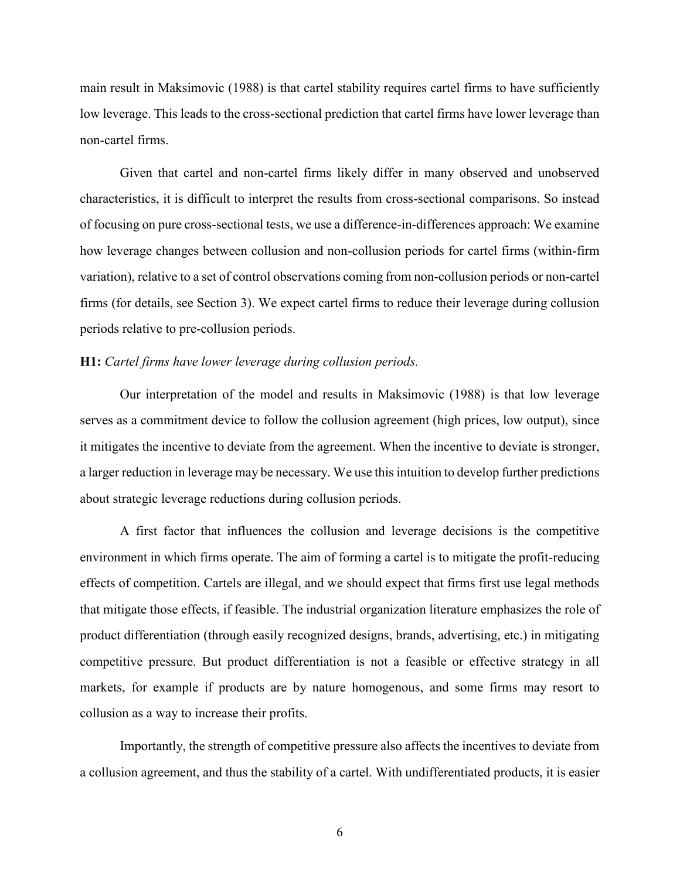main result in Maksimovic (1988) is that cartel stability requires cartel firms to have sufficiently low leverage. This leads to the cross-sectional prediction that cartel firms have lower leverage than non-cartel firms.

Given that cartel and non-cartel firms likely differ in many observed and unobserved characteristics, it is difficult to interpret the results from cross-sectional comparisons. So instead of focusing on pure cross-sectional tests, we use a difference-in-differences approach: We examine how leverage changes between collusion and non-collusion periods for cartel firms (within-firm variation), relative to a set of control observations coming from non-collusion periods or non-cartel firms (for details, see Section 3). We expect cartel firms to reduce their leverage during collusion periods relative to pre-collusion periods.

#### **H1:** *Cartel firms have lower leverage during collusion periods.*

Our interpretation of the model and results in Maksimovic (1988) is that low leverage serves as a commitment device to follow the collusion agreement (high prices, low output), since it mitigates the incentive to deviate from the agreement. When the incentive to deviate is stronger, a larger reduction in leverage may be necessary. We use this intuition to develop further predictions about strategic leverage reductions during collusion periods.

A first factor that influences the collusion and leverage decisions is the competitive environment in which firms operate. The aim of forming a cartel is to mitigate the profit-reducing effects of competition. Cartels are illegal, and we should expect that firms first use legal methods that mitigate those effects, if feasible. The industrial organization literature emphasizes the role of product differentiation (through easily recognized designs, brands, advertising, etc.) in mitigating competitive pressure. But product differentiation is not a feasible or effective strategy in all markets, for example if products are by nature homogenous, and some firms may resort to collusion as a way to increase their profits.

Importantly, the strength of competitive pressure also affects the incentives to deviate from a collusion agreement, and thus the stability of a cartel. With undifferentiated products, it is easier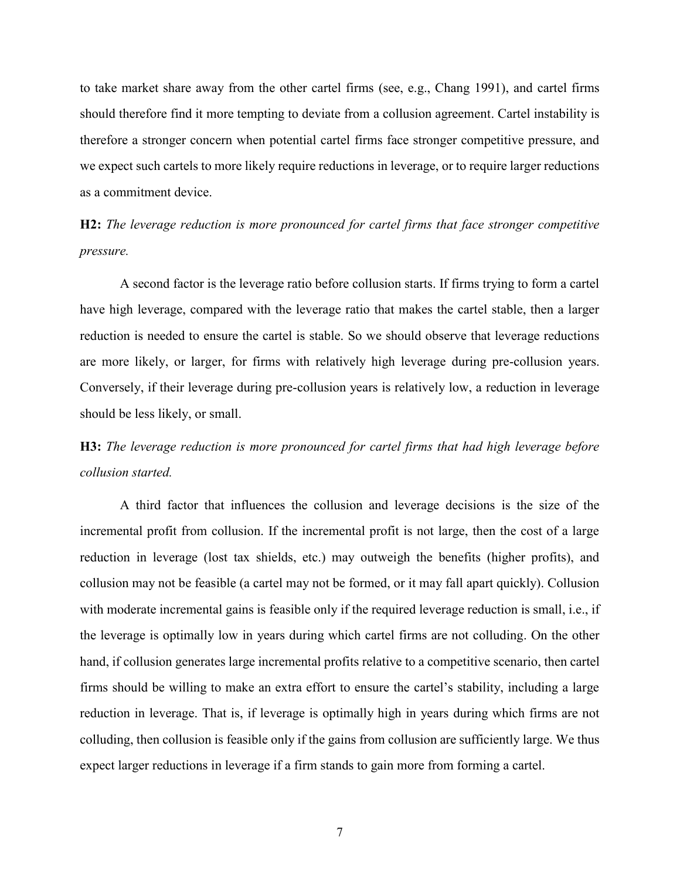to take market share away from the other cartel firms (see, e.g., Chang 1991), and cartel firms should therefore find it more tempting to deviate from a collusion agreement. Cartel instability is therefore a stronger concern when potential cartel firms face stronger competitive pressure, and we expect such cartels to more likely require reductions in leverage, or to require larger reductions as a commitment device.

**H2:** *The leverage reduction is more pronounced for cartel firms that face stronger competitive pressure.*

A second factor is the leverage ratio before collusion starts. If firms trying to form a cartel have high leverage, compared with the leverage ratio that makes the cartel stable, then a larger reduction is needed to ensure the cartel is stable. So we should observe that leverage reductions are more likely, or larger, for firms with relatively high leverage during pre-collusion years. Conversely, if their leverage during pre-collusion years is relatively low, a reduction in leverage should be less likely, or small.

**H3:** *The leverage reduction is more pronounced for cartel firms that had high leverage before collusion started.*

A third factor that influences the collusion and leverage decisions is the size of the incremental profit from collusion. If the incremental profit is not large, then the cost of a large reduction in leverage (lost tax shields, etc.) may outweigh the benefits (higher profits), and collusion may not be feasible (a cartel may not be formed, or it may fall apart quickly). Collusion with moderate incremental gains is feasible only if the required leverage reduction is small, i.e., if the leverage is optimally low in years during which cartel firms are not colluding. On the other hand, if collusion generates large incremental profits relative to a competitive scenario, then cartel firms should be willing to make an extra effort to ensure the cartel's stability, including a large reduction in leverage. That is, if leverage is optimally high in years during which firms are not colluding, then collusion is feasible only if the gains from collusion are sufficiently large. We thus expect larger reductions in leverage if a firm stands to gain more from forming a cartel.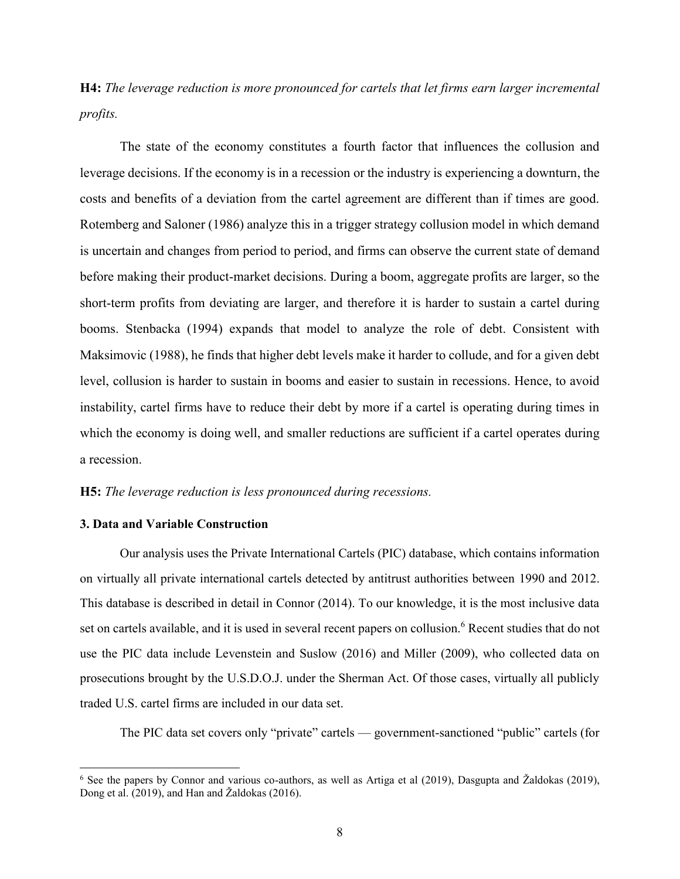**H4:** *The leverage reduction is more pronounced for cartels that let firms earn larger incremental profits.*

The state of the economy constitutes a fourth factor that influences the collusion and leverage decisions. If the economy is in a recession or the industry is experiencing a downturn, the costs and benefits of a deviation from the cartel agreement are different than if times are good. Rotemberg and Saloner (1986) analyze this in a trigger strategy collusion model in which demand is uncertain and changes from period to period, and firms can observe the current state of demand before making their product-market decisions. During a boom, aggregate profits are larger, so the short-term profits from deviating are larger, and therefore it is harder to sustain a cartel during booms. Stenbacka (1994) expands that model to analyze the role of debt. Consistent with Maksimovic (1988), he finds that higher debt levels make it harder to collude, and for a given debt level, collusion is harder to sustain in booms and easier to sustain in recessions. Hence, to avoid instability, cartel firms have to reduce their debt by more if a cartel is operating during times in which the economy is doing well, and smaller reductions are sufficient if a cartel operates during a recession.

#### **H5:** *The leverage reduction is less pronounced during recessions.*

#### **3. Data and Variable Construction**

Our analysis uses the Private International Cartels (PIC) database, which contains information on virtually all private international cartels detected by antitrust authorities between 1990 and 2012. This database is described in detail in Connor (2014). To our knowledge, it is the most inclusive data set on cartels available, and it is used in several recent papers on collusion.<sup>6</sup> Recent studies that do not use the PIC data include Levenstein and Suslow (2016) and Miller (2009), who collected data on prosecutions brought by the U.S.D.O.J. under the Sherman Act. Of those cases, virtually all publicly traded U.S. cartel firms are included in our data set.

The PIC data set covers only "private" cartels — government-sanctioned "public" cartels (for

 $6$  See the papers by Connor and various co-authors, as well as Artiga et al (2019), Dasgupta and Žaldokas (2019), Dong et al. (2019), and Han and Žaldokas (2016).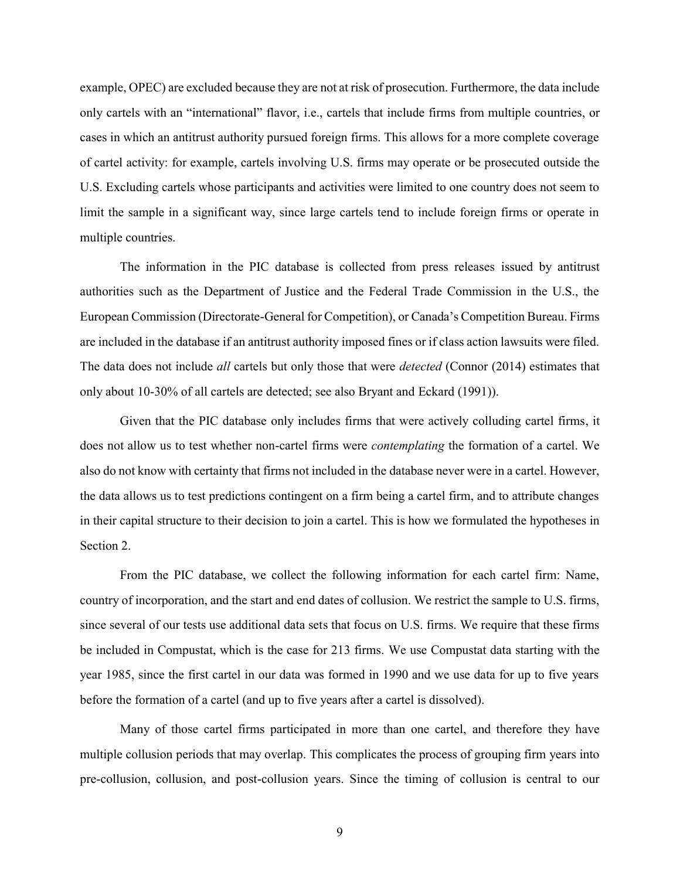example, OPEC) are excluded because they are not at risk of prosecution. Furthermore, the data include only cartels with an "international" flavor, i.e., cartels that include firms from multiple countries, or cases in which an antitrust authority pursued foreign firms. This allows for a more complete coverage of cartel activity: for example, cartels involving U.S. firms may operate or be prosecuted outside the U.S. Excluding cartels whose participants and activities were limited to one country does not seem to limit the sample in a significant way, since large cartels tend to include foreign firms or operate in multiple countries.

The information in the PIC database is collected from press releases issued by antitrust authorities such as the Department of Justice and the Federal Trade Commission in the U.S., the European Commission (Directorate-General for Competition), or Canada's Competition Bureau. Firms are included in the database if an antitrust authority imposed fines or if class action lawsuits were filed. The data does not include *all* cartels but only those that were *detected* (Connor (2014) estimates that only about 10-30% of all cartels are detected; see also Bryant and Eckard (1991)).

Given that the PIC database only includes firms that were actively colluding cartel firms, it does not allow us to test whether non-cartel firms were *contemplating* the formation of a cartel. We also do not know with certainty that firms not included in the database never were in a cartel. However, the data allows us to test predictions contingent on a firm being a cartel firm, and to attribute changes in their capital structure to their decision to join a cartel. This is how we formulated the hypotheses in Section 2.

From the PIC database, we collect the following information for each cartel firm: Name, country of incorporation, and the start and end dates of collusion. We restrict the sample to U.S. firms, since several of our tests use additional data sets that focus on U.S. firms. We require that these firms be included in Compustat, which is the case for 213 firms. We use Compustat data starting with the year 1985, since the first cartel in our data was formed in 1990 and we use data for up to five years before the formation of a cartel (and up to five years after a cartel is dissolved).

Many of those cartel firms participated in more than one cartel, and therefore they have multiple collusion periods that may overlap. This complicates the process of grouping firm years into pre-collusion, collusion, and post-collusion years. Since the timing of collusion is central to our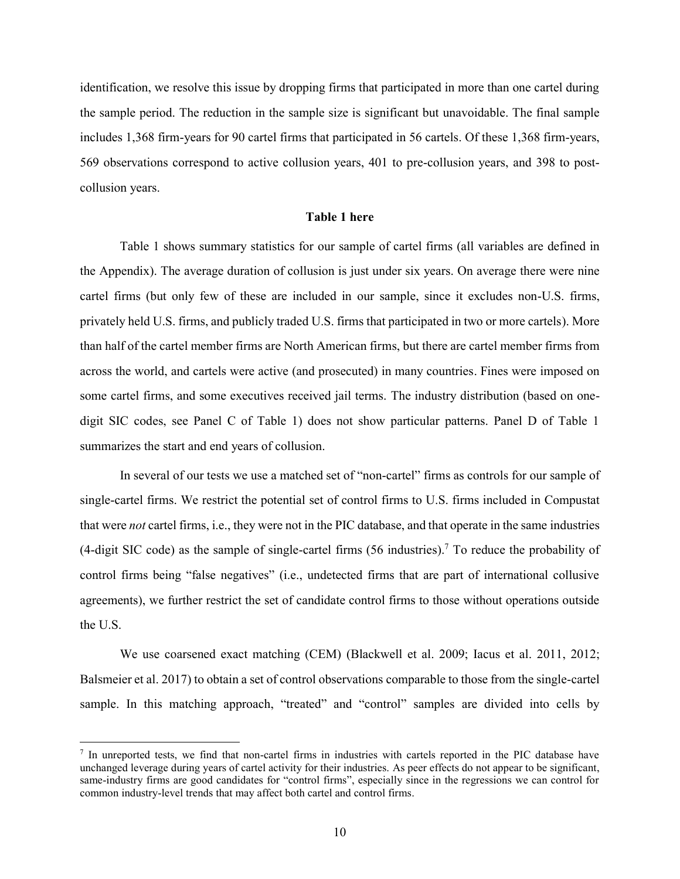identification, we resolve this issue by dropping firms that participated in more than one cartel during the sample period. The reduction in the sample size is significant but unavoidable. The final sample includes 1,368 firm-years for 90 cartel firms that participated in 56 cartels. Of these 1,368 firm-years, 569 observations correspond to active collusion years, 401 to pre-collusion years, and 398 to postcollusion years.

#### **Table 1 here**

Table 1 shows summary statistics for our sample of cartel firms (all variables are defined in the Appendix). The average duration of collusion is just under six years. On average there were nine cartel firms (but only few of these are included in our sample, since it excludes non-U.S. firms, privately held U.S. firms, and publicly traded U.S. firms that participated in two or more cartels). More than half of the cartel member firms are North American firms, but there are cartel member firms from across the world, and cartels were active (and prosecuted) in many countries. Fines were imposed on some cartel firms, and some executives received jail terms. The industry distribution (based on onedigit SIC codes, see Panel C of Table 1) does not show particular patterns. Panel D of Table 1 summarizes the start and end years of collusion.

In several of our tests we use a matched set of "non-cartel" firms as controls for our sample of single-cartel firms. We restrict the potential set of control firms to U.S. firms included in Compustat that were *not* cartel firms, i.e., they were not in the PIC database, and that operate in the same industries (4-digit SIC code) as the sample of single-cartel firms  $(56 \text{ industries})$ .<sup>7</sup> To reduce the probability of control firms being "false negatives" (i.e., undetected firms that are part of international collusive agreements), we further restrict the set of candidate control firms to those without operations outside the U.S.

We use coarsened exact matching (CEM) (Blackwell et al. 2009; Iacus et al. 2011, 2012; Balsmeier et al. 2017) to obtain a set of control observations comparable to those from the single-cartel sample. In this matching approach, "treated" and "control" samples are divided into cells by

 $\overline{\phantom{a}}$ 

<sup>&</sup>lt;sup>7</sup> In unreported tests, we find that non-cartel firms in industries with cartels reported in the PIC database have unchanged leverage during years of cartel activity for their industries. As peer effects do not appear to be significant, same-industry firms are good candidates for "control firms", especially since in the regressions we can control for common industry-level trends that may affect both cartel and control firms.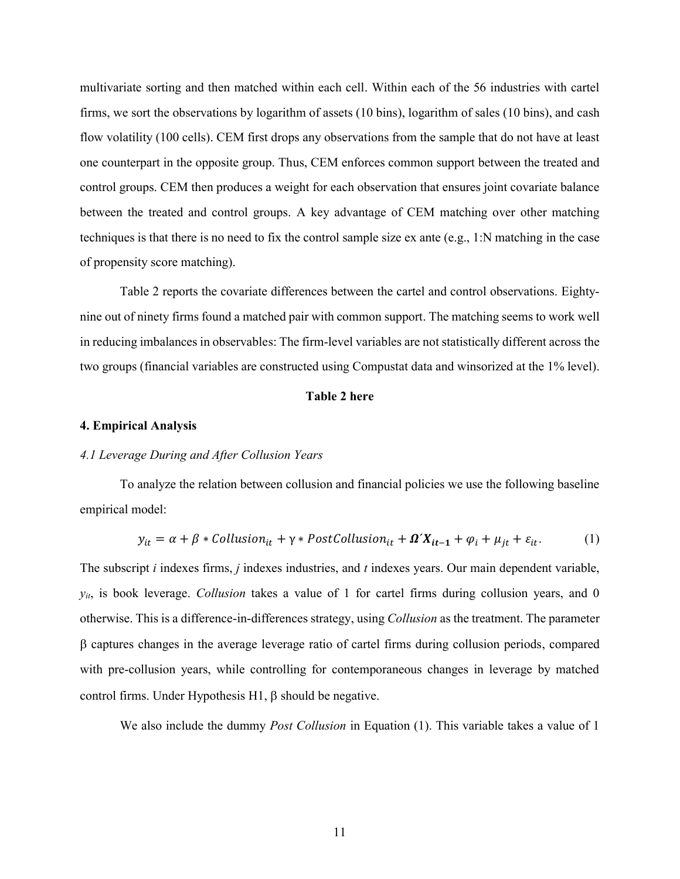multivariate sorting and then matched within each cell. Within each of the 56 industries with cartel firms, we sort the observations by logarithm of assets (10 bins), logarithm of sales (10 bins), and cash flow volatility (100 cells). CEM first drops any observations from the sample that do not have at least one counterpart in the opposite group. Thus, CEM enforces common support between the treated and control groups. CEM then produces a weight for each observation that ensures joint covariate balance between the treated and control groups. A key advantage of CEM matching over other matching techniques is that there is no need to fix the control sample size ex ante (e.g., 1:N matching in the case of propensity score matching).

Table 2 reports the covariate differences between the cartel and control observations. Eightynine out of ninety firms found a matched pair with common support. The matching seems to work well in reducing imbalances in observables: The firm-level variables are not statistically different across the two groups (financial variables are constructed using Compustat data and winsorized at the 1% level).

#### **Table 2 here**

#### **4. Empirical Analysis**

#### *4.1 Leverage During and After Collusion Years*

To analyze the relation between collusion and financial policies we use the following baseline empirical model:

$$
y_{it} = \alpha + \beta * Collision_{it} + \gamma * PostCollusion_{it} + \Omega' X_{it-1} + \varphi_i + \mu_{jt} + \varepsilon_{it}.
$$
 (1)

The subscript *i* indexes firms, *j* indexes industries, and *t* indexes years. Our main dependent variable, *yit*, is book leverage. *Collusion* takes a value of 1 for cartel firms during collusion years, and 0 otherwise. This is a difference-in-differences strategy, using *Collusion* as the treatment. The parameter  $\beta$  captures changes in the average leverage ratio of cartel firms during collusion periods, compared with pre-collusion years, while controlling for contemporaneous changes in leverage by matched control firms. Under Hypothesis H1,  $\beta$  should be negative.

We also include the dummy *Post Collusion* in Equation (1). This variable takes a value of 1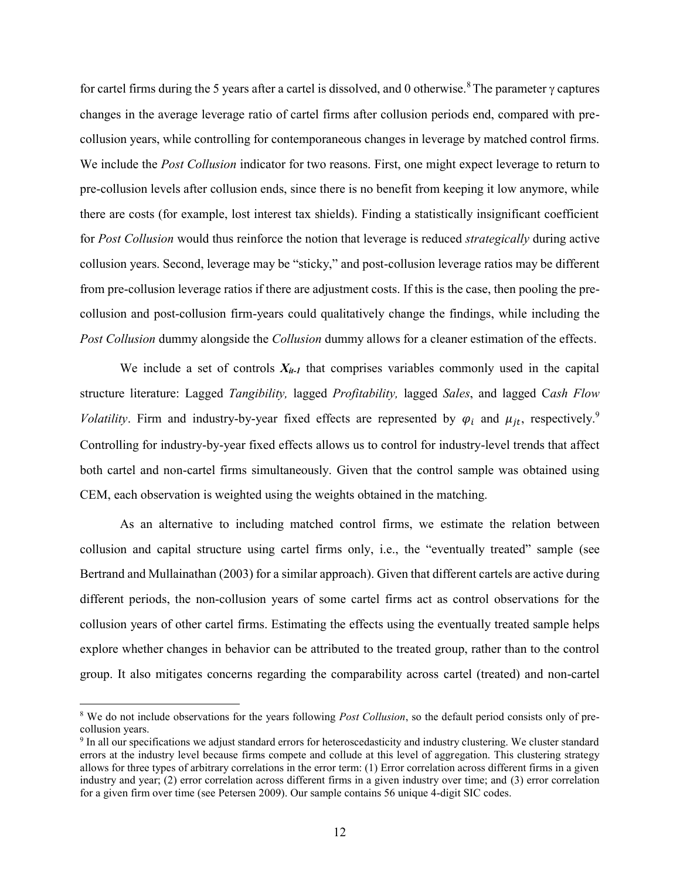for cartel firms during the 5 years after a cartel is dissolved, and 0 otherwise.<sup>8</sup> The parameter  $\gamma$  captures changes in the average leverage ratio of cartel firms after collusion periods end, compared with precollusion years, while controlling for contemporaneous changes in leverage by matched control firms. We include the *Post Collusion* indicator for two reasons. First, one might expect leverage to return to pre-collusion levels after collusion ends, since there is no benefit from keeping it low anymore, while there are costs (for example, lost interest tax shields). Finding a statistically insignificant coefficient for *Post Collusion* would thus reinforce the notion that leverage is reduced *strategically* during active collusion years. Second, leverage may be "sticky," and post-collusion leverage ratios may be different from pre-collusion leverage ratios if there are adjustment costs. If this is the case, then pooling the precollusion and post-collusion firm-years could qualitatively change the findings, while including the *Post Collusion* dummy alongside the *Collusion* dummy allows for a cleaner estimation of the effects.

We include a set of controls  $X_{it-1}$  that comprises variables commonly used in the capital structure literature: Lagged *Tangibility,* lagged *Profitability,* lagged *Sales*, and lagged C*ash Flow Volatility*. Firm and industry-by-year fixed effects are represented by  $\varphi_i$  and  $\mu_{jt}$ , respectively.<sup>9</sup> Controlling for industry-by-year fixed effects allows us to control for industry-level trends that affect both cartel and non-cartel firms simultaneously. Given that the control sample was obtained using CEM, each observation is weighted using the weights obtained in the matching.

As an alternative to including matched control firms, we estimate the relation between collusion and capital structure using cartel firms only, i.e., the "eventually treated" sample (see Bertrand and Mullainathan (2003) for a similar approach). Given that different cartels are active during different periods, the non-collusion years of some cartel firms act as control observations for the collusion years of other cartel firms. Estimating the effects using the eventually treated sample helps explore whether changes in behavior can be attributed to the treated group, rather than to the control group. It also mitigates concerns regarding the comparability across cartel (treated) and non-cartel

 $\overline{\phantom{a}}$ 

<sup>8</sup> We do not include observations for the years following *Post Collusion*, so the default period consists only of precollusion years.

<sup>&</sup>lt;sup>9</sup> In all our specifications we adjust standard errors for heteroscedasticity and industry clustering. We cluster standard errors at the industry level because firms compete and collude at this level of aggregation. This clustering strategy allows for three types of arbitrary correlations in the error term: (1) Error correlation across different firms in a given industry and year; (2) error correlation across different firms in a given industry over time; and (3) error correlation for a given firm over time (see Petersen 2009). Our sample contains 56 unique 4-digit SIC codes.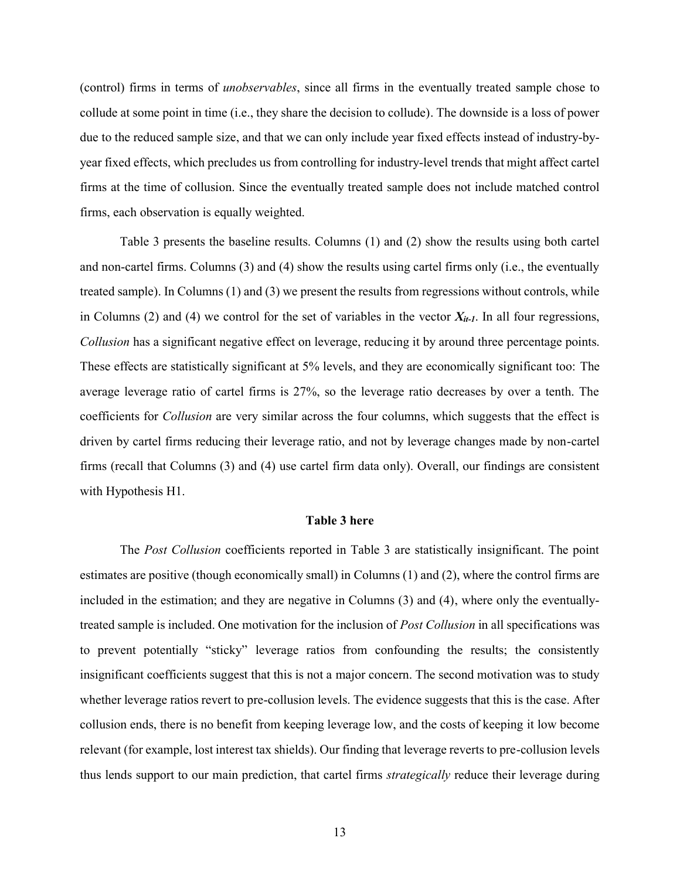(control) firms in terms of *unobservables*, since all firms in the eventually treated sample chose to collude at some point in time (i.e., they share the decision to collude). The downside is a loss of power due to the reduced sample size, and that we can only include year fixed effects instead of industry-byyear fixed effects, which precludes us from controlling for industry-level trends that might affect cartel firms at the time of collusion. Since the eventually treated sample does not include matched control firms, each observation is equally weighted.

Table 3 presents the baseline results. Columns (1) and (2) show the results using both cartel and non-cartel firms. Columns (3) and (4) show the results using cartel firms only (i.e., the eventually treated sample). In Columns (1) and (3) we present the results from regressions without controls, while in Columns (2) and (4) we control for the set of variables in the vector *Xit-1*. In all four regressions, *Collusion* has a significant negative effect on leverage, reducing it by around three percentage points. These effects are statistically significant at 5% levels, and they are economically significant too: The average leverage ratio of cartel firms is 27%, so the leverage ratio decreases by over a tenth. The coefficients for *Collusion* are very similar across the four columns, which suggests that the effect is driven by cartel firms reducing their leverage ratio, and not by leverage changes made by non-cartel firms (recall that Columns (3) and (4) use cartel firm data only). Overall, our findings are consistent with Hypothesis H1.

#### **Table 3 here**

The *Post Collusion* coefficients reported in Table 3 are statistically insignificant. The point estimates are positive (though economically small) in Columns (1) and (2), where the control firms are included in the estimation; and they are negative in Columns (3) and (4), where only the eventuallytreated sample is included. One motivation for the inclusion of *Post Collusion* in all specifications was to prevent potentially "sticky" leverage ratios from confounding the results; the consistently insignificant coefficients suggest that this is not a major concern. The second motivation was to study whether leverage ratios revert to pre-collusion levels. The evidence suggests that this is the case. After collusion ends, there is no benefit from keeping leverage low, and the costs of keeping it low become relevant (for example, lost interest tax shields). Our finding that leverage reverts to pre-collusion levels thus lends support to our main prediction, that cartel firms *strategically* reduce their leverage during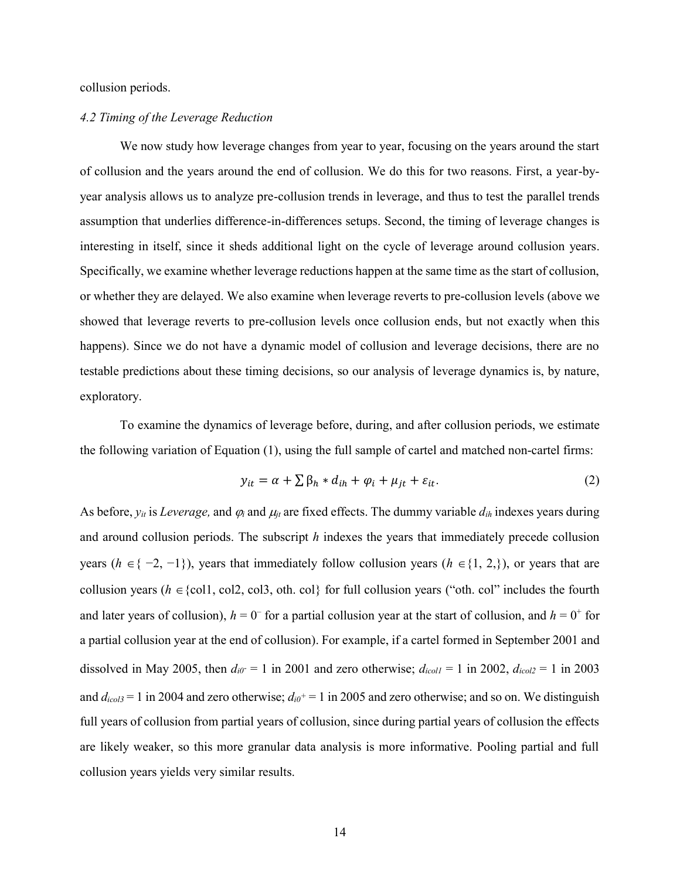collusion periods.

#### *4.2 Timing of the Leverage Reduction*

We now study how leverage changes from year to year, focusing on the years around the start of collusion and the years around the end of collusion. We do this for two reasons. First, a year-byyear analysis allows us to analyze pre-collusion trends in leverage, and thus to test the parallel trends assumption that underlies difference-in-differences setups. Second, the timing of leverage changes is interesting in itself, since it sheds additional light on the cycle of leverage around collusion years. Specifically, we examine whether leverage reductions happen at the same time as the start of collusion, or whether they are delayed. We also examine when leverage reverts to pre-collusion levels (above we showed that leverage reverts to pre-collusion levels once collusion ends, but not exactly when this happens). Since we do not have a dynamic model of collusion and leverage decisions, there are no testable predictions about these timing decisions, so our analysis of leverage dynamics is, by nature, exploratory.

To examine the dynamics of leverage before, during, and after collusion periods, we estimate the following variation of Equation (1), using the full sample of cartel and matched non-cartel firms:

$$
y_{it} = \alpha + \sum \beta_h * d_{ih} + \varphi_i + \mu_{jt} + \varepsilon_{it}.
$$
 (2)

As before,  $y_{it}$  is *Leverage*, and  $\varphi_i$  and  $\mu_{jt}$  are fixed effects. The dummy variable  $d_{ih}$  indexes years during and around collusion periods. The subscript *h* indexes the years that immediately precede collusion years ( $h \in \{-2, -1\}$ ), years that immediately follow collusion years ( $h \in \{1, 2\}$ ), or years that are collusion years ( $h \in \{col1, col2, col3, oth. col\}$  for full collusion years ("oth. col" includes the fourth and later years of collusion),  $h = 0^-$  for a partial collusion year at the start of collusion, and  $h = 0^+$  for a partial collusion year at the end of collusion). For example, if a cartel formed in September 2001 and dissolved in May 2005, then  $d_{i0}$ <sup>-</sup> = 1 in 2001 and zero otherwise;  $d_{icoll}$  = 1 in 2002,  $d_{icoll}$  = 1 in 2003 and  $d_{icol3} = 1$  in 2004 and zero otherwise;  $d_{i0}$ <sup>+</sup> = 1 in 2005 and zero otherwise; and so on. We distinguish full years of collusion from partial years of collusion, since during partial years of collusion the effects are likely weaker, so this more granular data analysis is more informative. Pooling partial and full collusion years yields very similar results.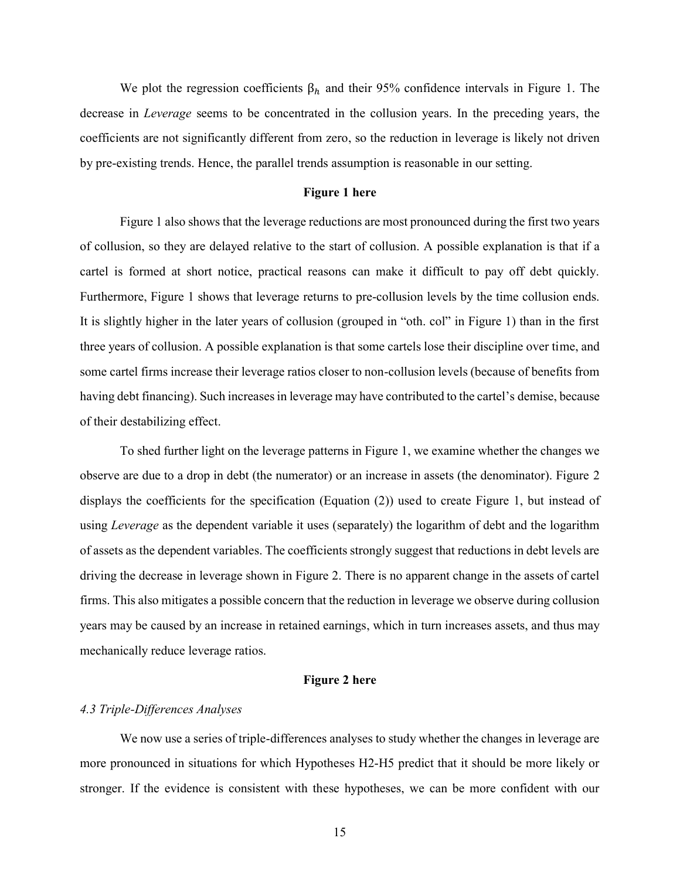We plot the regression coefficients  $\beta_h$  and their 95% confidence intervals in Figure 1. The decrease in *Leverage* seems to be concentrated in the collusion years. In the preceding years, the coefficients are not significantly different from zero, so the reduction in leverage is likely not driven by pre-existing trends. Hence, the parallel trends assumption is reasonable in our setting.

#### **Figure 1 here**

Figure 1 also shows that the leverage reductions are most pronounced during the first two years of collusion, so they are delayed relative to the start of collusion. A possible explanation is that if a cartel is formed at short notice, practical reasons can make it difficult to pay off debt quickly. Furthermore, Figure 1 shows that leverage returns to pre-collusion levels by the time collusion ends. It is slightly higher in the later years of collusion (grouped in "oth. col" in Figure 1) than in the first three years of collusion. A possible explanation is that some cartels lose their discipline over time, and some cartel firms increase their leverage ratios closer to non-collusion levels (because of benefits from having debt financing). Such increases in leverage may have contributed to the cartel's demise, because of their destabilizing effect.

To shed further light on the leverage patterns in Figure 1, we examine whether the changes we observe are due to a drop in debt (the numerator) or an increase in assets (the denominator). Figure 2 displays the coefficients for the specification (Equation (2)) used to create Figure 1, but instead of using *Leverage* as the dependent variable it uses (separately) the logarithm of debt and the logarithm of assets as the dependent variables. The coefficients strongly suggest that reductions in debt levels are driving the decrease in leverage shown in Figure 2. There is no apparent change in the assets of cartel firms. This also mitigates a possible concern that the reduction in leverage we observe during collusion years may be caused by an increase in retained earnings, which in turn increases assets, and thus may mechanically reduce leverage ratios.

#### **Figure 2 here**

#### *4.3 Triple-Differences Analyses*

We now use a series of triple-differences analyses to study whether the changes in leverage are more pronounced in situations for which Hypotheses H2-H5 predict that it should be more likely or stronger. If the evidence is consistent with these hypotheses, we can be more confident with our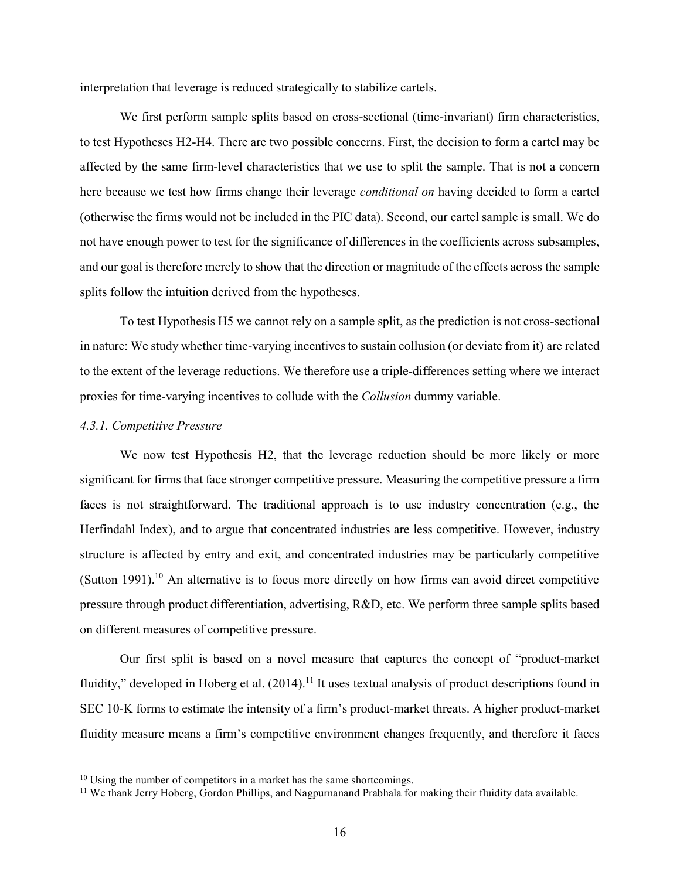interpretation that leverage is reduced strategically to stabilize cartels.

We first perform sample splits based on cross-sectional (time-invariant) firm characteristics, to test Hypotheses H2-H4. There are two possible concerns. First, the decision to form a cartel may be affected by the same firm-level characteristics that we use to split the sample. That is not a concern here because we test how firms change their leverage *conditional on* having decided to form a cartel (otherwise the firms would not be included in the PIC data). Second, our cartel sample is small. We do not have enough power to test for the significance of differences in the coefficients across subsamples, and our goal is therefore merely to show that the direction or magnitude of the effects across the sample splits follow the intuition derived from the hypotheses.

To test Hypothesis H5 we cannot rely on a sample split, as the prediction is not cross-sectional in nature: We study whether time-varying incentives to sustain collusion (or deviate from it) are related to the extent of the leverage reductions. We therefore use a triple-differences setting where we interact proxies for time-varying incentives to collude with the *Collusion* dummy variable.

#### *4.3.1. Competitive Pressure*

We now test Hypothesis H2, that the leverage reduction should be more likely or more significant for firms that face stronger competitive pressure. Measuring the competitive pressure a firm faces is not straightforward. The traditional approach is to use industry concentration (e.g., the Herfindahl Index), and to argue that concentrated industries are less competitive. However, industry structure is affected by entry and exit, and concentrated industries may be particularly competitive (Sutton 1991).<sup>10</sup> An alternative is to focus more directly on how firms can avoid direct competitive pressure through product differentiation, advertising, R&D, etc. We perform three sample splits based on different measures of competitive pressure.

Our first split is based on a novel measure that captures the concept of "product-market fluidity," developed in Hoberg et al.  $(2014)$ .<sup>11</sup> It uses textual analysis of product descriptions found in SEC 10-K forms to estimate the intensity of a firm's product-market threats. A higher product-market fluidity measure means a firm's competitive environment changes frequently, and therefore it faces

<sup>&</sup>lt;sup>10</sup> Using the number of competitors in a market has the same shortcomings.

<sup>&</sup>lt;sup>11</sup> We thank Jerry Hoberg, Gordon Phillips, and Nagpurnanand Prabhala for making their fluidity data available.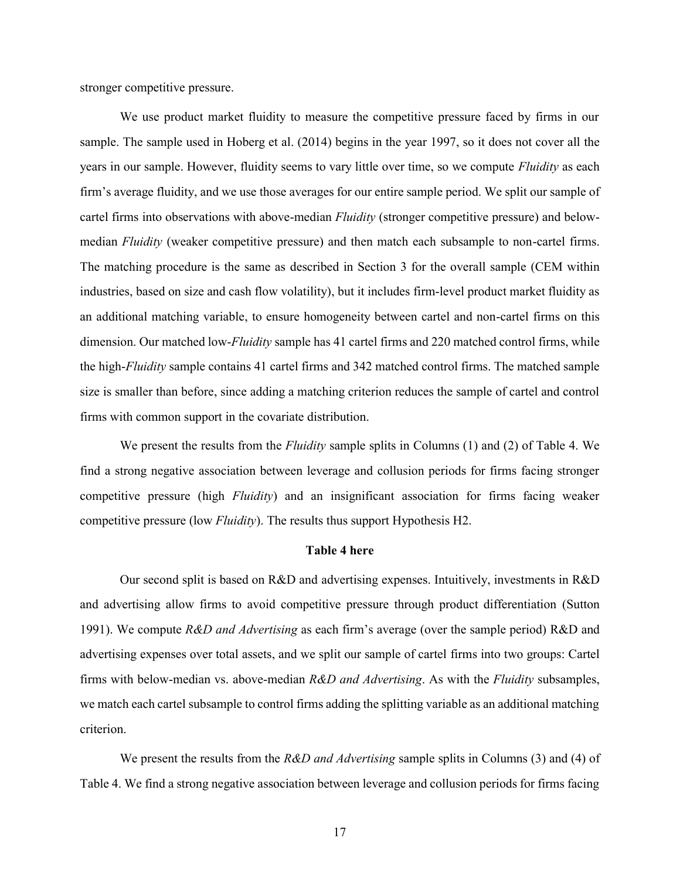stronger competitive pressure.

We use product market fluidity to measure the competitive pressure faced by firms in our sample. The sample used in Hoberg et al. (2014) begins in the year 1997, so it does not cover all the years in our sample. However, fluidity seems to vary little over time, so we compute *Fluidity* as each firm's average fluidity, and we use those averages for our entire sample period. We split our sample of cartel firms into observations with above-median *Fluidity* (stronger competitive pressure) and belowmedian *Fluidity* (weaker competitive pressure) and then match each subsample to non-cartel firms. The matching procedure is the same as described in Section 3 for the overall sample (CEM within industries, based on size and cash flow volatility), but it includes firm-level product market fluidity as an additional matching variable, to ensure homogeneity between cartel and non-cartel firms on this dimension. Our matched low-*Fluidity* sample has 41 cartel firms and 220 matched control firms, while the high-*Fluidity* sample contains 41 cartel firms and 342 matched control firms. The matched sample size is smaller than before, since adding a matching criterion reduces the sample of cartel and control firms with common support in the covariate distribution.

We present the results from the *Fluidity* sample splits in Columns (1) and (2) of Table 4. We find a strong negative association between leverage and collusion periods for firms facing stronger competitive pressure (high *Fluidity*) and an insignificant association for firms facing weaker competitive pressure (low *Fluidity*). The results thus support Hypothesis H2.

#### **Table 4 here**

Our second split is based on R&D and advertising expenses. Intuitively, investments in R&D and advertising allow firms to avoid competitive pressure through product differentiation (Sutton 1991). We compute *R&D and Advertising* as each firm's average (over the sample period) R&D and advertising expenses over total assets, and we split our sample of cartel firms into two groups: Cartel firms with below-median vs. above-median *R&D and Advertising*. As with the *Fluidity* subsamples, we match each cartel subsample to control firms adding the splitting variable as an additional matching criterion.

We present the results from the *R&D and Advertising* sample splits in Columns (3) and (4) of Table 4. We find a strong negative association between leverage and collusion periods for firms facing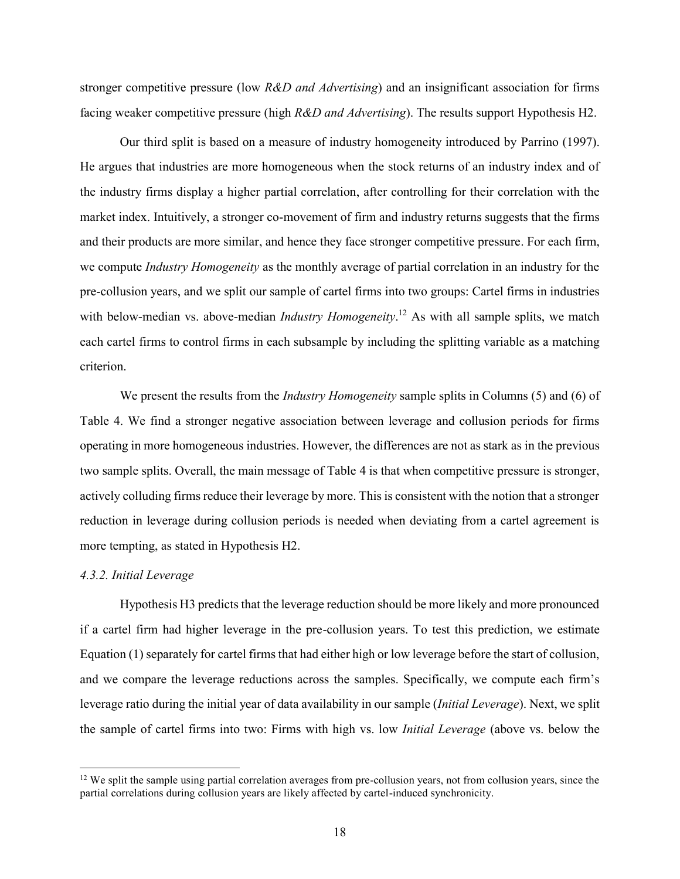stronger competitive pressure (low *R&D and Advertising*) and an insignificant association for firms facing weaker competitive pressure (high *R&D and Advertising*). The results support Hypothesis H2.

Our third split is based on a measure of industry homogeneity introduced by Parrino (1997). He argues that industries are more homogeneous when the stock returns of an industry index and of the industry firms display a higher partial correlation, after controlling for their correlation with the market index. Intuitively, a stronger co-movement of firm and industry returns suggests that the firms and their products are more similar, and hence they face stronger competitive pressure. For each firm, we compute *Industry Homogeneity* as the monthly average of partial correlation in an industry for the pre-collusion years, and we split our sample of cartel firms into two groups: Cartel firms in industries with below-median vs. above-median *Industry Homogeneity*. <sup>12</sup> As with all sample splits, we match each cartel firms to control firms in each subsample by including the splitting variable as a matching criterion.

We present the results from the *Industry Homogeneity* sample splits in Columns (5) and (6) of Table 4. We find a stronger negative association between leverage and collusion periods for firms operating in more homogeneous industries. However, the differences are not as stark as in the previous two sample splits. Overall, the main message of Table 4 is that when competitive pressure is stronger, actively colluding firms reduce their leverage by more. This is consistent with the notion that a stronger reduction in leverage during collusion periods is needed when deviating from a cartel agreement is more tempting, as stated in Hypothesis H2.

#### *4.3.2. Initial Leverage*

Hypothesis H3 predicts that the leverage reduction should be more likely and more pronounced if a cartel firm had higher leverage in the pre-collusion years. To test this prediction, we estimate Equation (1) separately for cartel firms that had either high or low leverage before the start of collusion, and we compare the leverage reductions across the samples. Specifically, we compute each firm's leverage ratio during the initial year of data availability in our sample (*Initial Leverage*). Next, we split the sample of cartel firms into two: Firms with high vs. low *Initial Leverage* (above vs. below the

 $12$  We split the sample using partial correlation averages from pre-collusion years, not from collusion years, since the partial correlations during collusion years are likely affected by cartel-induced synchronicity.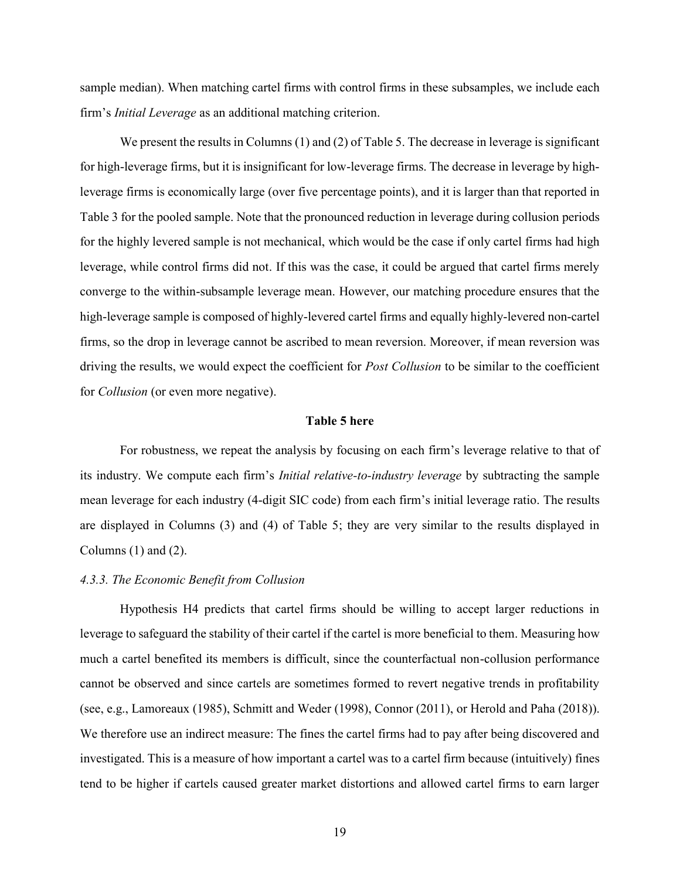sample median). When matching cartel firms with control firms in these subsamples, we include each firm's *Initial Leverage* as an additional matching criterion.

We present the results in Columns (1) and (2) of Table 5. The decrease in leverage is significant for high-leverage firms, but it is insignificant for low-leverage firms. The decrease in leverage by highleverage firms is economically large (over five percentage points), and it is larger than that reported in Table 3 for the pooled sample. Note that the pronounced reduction in leverage during collusion periods for the highly levered sample is not mechanical, which would be the case if only cartel firms had high leverage, while control firms did not. If this was the case, it could be argued that cartel firms merely converge to the within-subsample leverage mean. However, our matching procedure ensures that the high-leverage sample is composed of highly-levered cartel firms and equally highly-levered non-cartel firms, so the drop in leverage cannot be ascribed to mean reversion. Moreover, if mean reversion was driving the results, we would expect the coefficient for *Post Collusion* to be similar to the coefficient for *Collusion* (or even more negative).

#### **Table 5 here**

For robustness, we repeat the analysis by focusing on each firm's leverage relative to that of its industry. We compute each firm's *Initial relative-to-industry leverage* by subtracting the sample mean leverage for each industry (4-digit SIC code) from each firm's initial leverage ratio. The results are displayed in Columns (3) and (4) of Table 5; they are very similar to the results displayed in Columns  $(1)$  and  $(2)$ .

#### *4.3.3. The Economic Benefit from Collusion*

Hypothesis H4 predicts that cartel firms should be willing to accept larger reductions in leverage to safeguard the stability of their cartel if the cartel is more beneficial to them. Measuring how much a cartel benefited its members is difficult, since the counterfactual non-collusion performance cannot be observed and since cartels are sometimes formed to revert negative trends in profitability (see, e.g., Lamoreaux (1985), Schmitt and Weder (1998), Connor (2011), or Herold and Paha (2018)). We therefore use an indirect measure: The fines the cartel firms had to pay after being discovered and investigated. This is a measure of how important a cartel was to a cartel firm because (intuitively) fines tend to be higher if cartels caused greater market distortions and allowed cartel firms to earn larger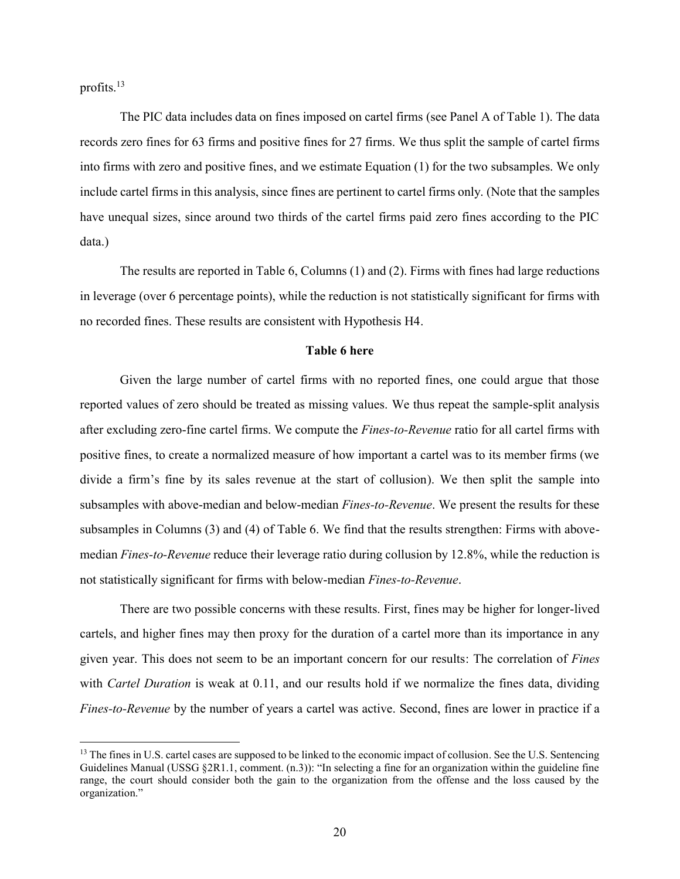profits.<sup>13</sup>

 $\overline{\phantom{a}}$ 

The PIC data includes data on fines imposed on cartel firms (see Panel A of Table 1). The data records zero fines for 63 firms and positive fines for 27 firms. We thus split the sample of cartel firms into firms with zero and positive fines, and we estimate Equation (1) for the two subsamples. We only include cartel firms in this analysis, since fines are pertinent to cartel firms only. (Note that the samples have unequal sizes, since around two thirds of the cartel firms paid zero fines according to the PIC data.)

The results are reported in Table 6, Columns (1) and (2). Firms with fines had large reductions in leverage (over 6 percentage points), while the reduction is not statistically significant for firms with no recorded fines. These results are consistent with Hypothesis H4.

#### **Table 6 here**

Given the large number of cartel firms with no reported fines, one could argue that those reported values of zero should be treated as missing values. We thus repeat the sample-split analysis after excluding zero-fine cartel firms. We compute the *Fines-to-Revenue* ratio for all cartel firms with positive fines, to create a normalized measure of how important a cartel was to its member firms (we divide a firm's fine by its sales revenue at the start of collusion). We then split the sample into subsamples with above-median and below-median *Fines-to-Revenue*. We present the results for these subsamples in Columns (3) and (4) of Table 6. We find that the results strengthen: Firms with abovemedian *Fines-to-Revenue* reduce their leverage ratio during collusion by 12.8%, while the reduction is not statistically significant for firms with below-median *Fines-to-Revenue*.

There are two possible concerns with these results. First, fines may be higher for longer-lived cartels, and higher fines may then proxy for the duration of a cartel more than its importance in any given year. This does not seem to be an important concern for our results: The correlation of *Fines* with *Cartel Duration* is weak at 0.11, and our results hold if we normalize the fines data, dividing *Fines-to-Revenue* by the number of years a cartel was active. Second, fines are lower in practice if a

<sup>&</sup>lt;sup>13</sup> The fines in U.S. cartel cases are supposed to be linked to the economic impact of collusion. See the U.S. Sentencing Guidelines Manual (USSG §2R1.1, comment. (n.3)): "In selecting a fine for an organization within the guideline fine range, the court should consider both the gain to the organization from the offense and the loss caused by the organization."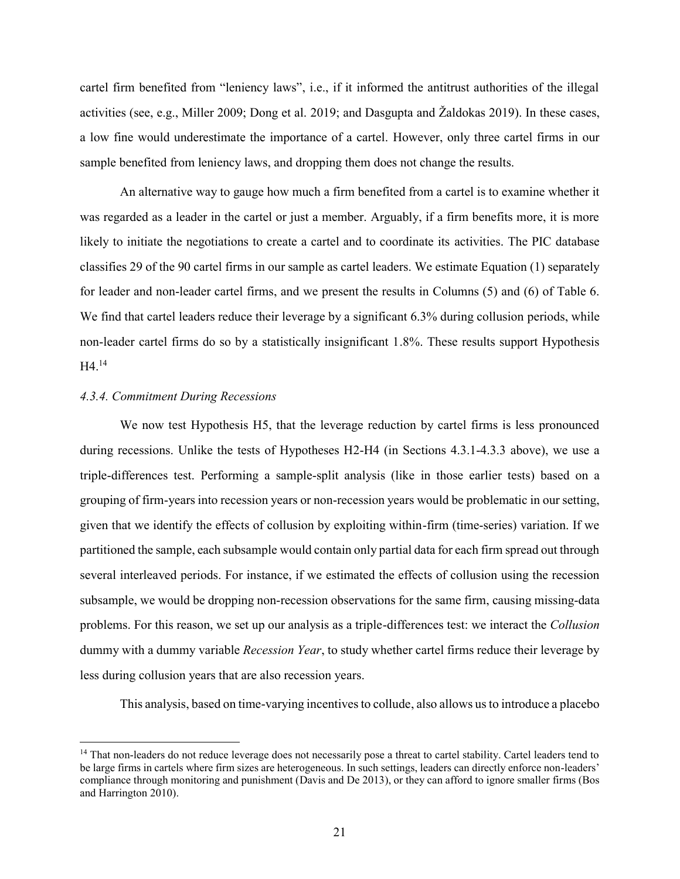cartel firm benefited from "leniency laws", i.e., if it informed the antitrust authorities of the illegal activities (see, e.g., Miller 2009; Dong et al. 2019; and Dasgupta and Žaldokas 2019). In these cases, a low fine would underestimate the importance of a cartel. However, only three cartel firms in our sample benefited from leniency laws, and dropping them does not change the results.

An alternative way to gauge how much a firm benefited from a cartel is to examine whether it was regarded as a leader in the cartel or just a member. Arguably, if a firm benefits more, it is more likely to initiate the negotiations to create a cartel and to coordinate its activities. The PIC database classifies 29 of the 90 cartel firms in our sample as cartel leaders. We estimate Equation (1) separately for leader and non-leader cartel firms, and we present the results in Columns (5) and (6) of Table 6. We find that cartel leaders reduce their leverage by a significant 6.3% during collusion periods, while non-leader cartel firms do so by a statistically insignificant 1.8%. These results support Hypothesis H4.<sup>14</sup>

#### *4.3.4. Commitment During Recessions*

 $\overline{\phantom{a}}$ 

We now test Hypothesis H5, that the leverage reduction by cartel firms is less pronounced during recessions. Unlike the tests of Hypotheses H2-H4 (in Sections 4.3.1-4.3.3 above), we use a triple-differences test. Performing a sample-split analysis (like in those earlier tests) based on a grouping of firm-years into recession years or non-recession years would be problematic in our setting, given that we identify the effects of collusion by exploiting within-firm (time-series) variation. If we partitioned the sample, each subsample would contain only partial data for each firm spread out through several interleaved periods. For instance, if we estimated the effects of collusion using the recession subsample, we would be dropping non-recession observations for the same firm, causing missing-data problems. For this reason, we set up our analysis as a triple-differences test: we interact the *Collusion* dummy with a dummy variable *Recession Year*, to study whether cartel firms reduce their leverage by less during collusion years that are also recession years.

This analysis, based on time-varying incentives to collude, also allows us to introduce a placebo

<sup>&</sup>lt;sup>14</sup> That non-leaders do not reduce leverage does not necessarily pose a threat to cartel stability. Cartel leaders tend to be large firms in cartels where firm sizes are heterogeneous. In such settings, leaders can directly enforce non-leaders' compliance through monitoring and punishment (Davis and De 2013), or they can afford to ignore smaller firms (Bos and Harrington 2010).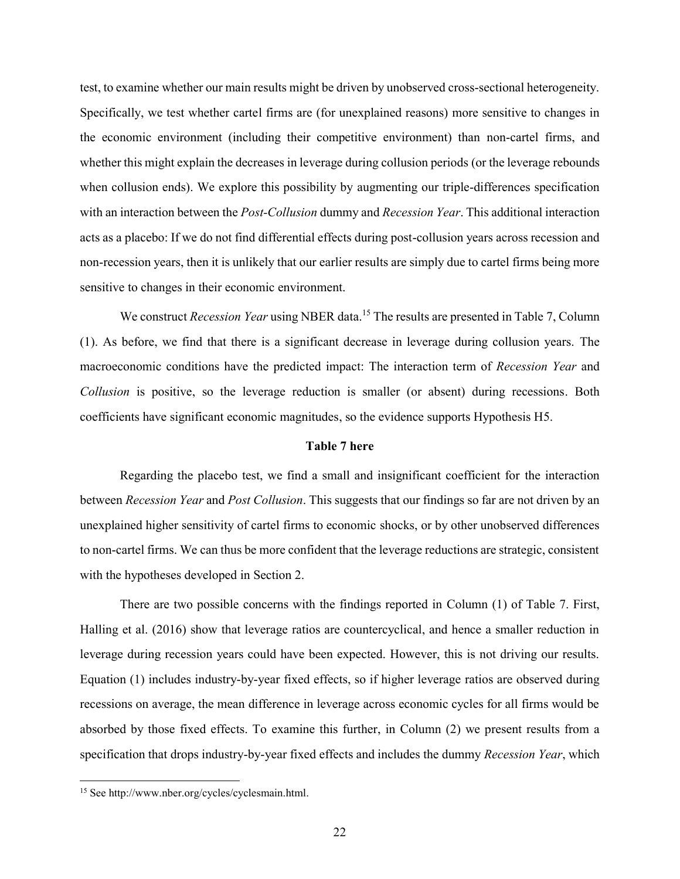test, to examine whether our main results might be driven by unobserved cross-sectional heterogeneity. Specifically, we test whether cartel firms are (for unexplained reasons) more sensitive to changes in the economic environment (including their competitive environment) than non-cartel firms, and whether this might explain the decreases in leverage during collusion periods (or the leverage rebounds when collusion ends). We explore this possibility by augmenting our triple-differences specification with an interaction between the *Post-Collusion* dummy and *Recession Year*. This additional interaction acts as a placebo: If we do not find differential effects during post-collusion years across recession and non-recession years, then it is unlikely that our earlier results are simply due to cartel firms being more sensitive to changes in their economic environment.

We construct *Recession Year* using NBER data.<sup>15</sup> The results are presented in Table 7, Column (1). As before, we find that there is a significant decrease in leverage during collusion years. The macroeconomic conditions have the predicted impact: The interaction term of *Recession Year* and *Collusion* is positive, so the leverage reduction is smaller (or absent) during recessions. Both coefficients have significant economic magnitudes, so the evidence supports Hypothesis H5.

#### **Table 7 here**

Regarding the placebo test, we find a small and insignificant coefficient for the interaction between *Recession Year* and *Post Collusion*. This suggests that our findings so far are not driven by an unexplained higher sensitivity of cartel firms to economic shocks, or by other unobserved differences to non-cartel firms. We can thus be more confident that the leverage reductions are strategic, consistent with the hypotheses developed in Section 2.

There are two possible concerns with the findings reported in Column (1) of Table 7. First, Halling et al. (2016) show that leverage ratios are countercyclical, and hence a smaller reduction in leverage during recession years could have been expected. However, this is not driving our results. Equation (1) includes industry-by-year fixed effects, so if higher leverage ratios are observed during recessions on average, the mean difference in leverage across economic cycles for all firms would be absorbed by those fixed effects. To examine this further, in Column (2) we present results from a specification that drops industry-by-year fixed effects and includes the dummy *Recession Year*, which

 $\overline{\phantom{a}}$ 

<sup>15</sup> See http://www.nber.org/cycles/cyclesmain.html.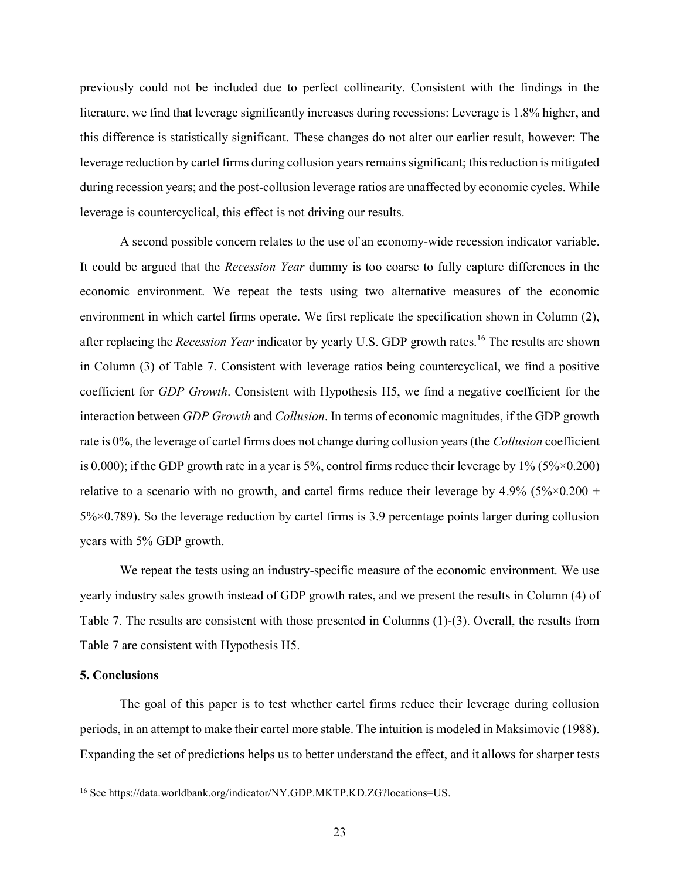previously could not be included due to perfect collinearity. Consistent with the findings in the literature, we find that leverage significantly increases during recessions: Leverage is 1.8% higher, and this difference is statistically significant. These changes do not alter our earlier result, however: The leverage reduction by cartel firms during collusion years remains significant; this reduction is mitigated during recession years; and the post-collusion leverage ratios are unaffected by economic cycles. While leverage is countercyclical, this effect is not driving our results.

A second possible concern relates to the use of an economy-wide recession indicator variable. It could be argued that the *Recession Year* dummy is too coarse to fully capture differences in the economic environment. We repeat the tests using two alternative measures of the economic environment in which cartel firms operate. We first replicate the specification shown in Column (2), after replacing the *Recession Year* indicator by yearly U.S. GDP growth rates.<sup>16</sup> The results are shown in Column (3) of Table 7. Consistent with leverage ratios being countercyclical, we find a positive coefficient for *GDP Growth*. Consistent with Hypothesis H5, we find a negative coefficient for the interaction between *GDP Growth* and *Collusion*. In terms of economic magnitudes, if the GDP growth rate is 0%, the leverage of cartel firms does not change during collusion years (the *Collusion* coefficient is 0.000); if the GDP growth rate in a year is 5%, control firms reduce their leverage by  $1\%$  (5%×0.200) relative to a scenario with no growth, and cartel firms reduce their leverage by 4.9% ( $5\% \times 0.200 +$ 5%×0.789). So the leverage reduction by cartel firms is 3.9 percentage points larger during collusion years with 5% GDP growth.

We repeat the tests using an industry-specific measure of the economic environment. We use yearly industry sales growth instead of GDP growth rates, and we present the results in Column (4) of Table 7. The results are consistent with those presented in Columns (1)-(3). Overall, the results from Table 7 are consistent with Hypothesis H5.

#### **5. Conclusions**

 $\overline{\phantom{a}}$ 

The goal of this paper is to test whether cartel firms reduce their leverage during collusion periods, in an attempt to make their cartel more stable. The intuition is modeled in Maksimovic (1988). Expanding the set of predictions helps us to better understand the effect, and it allows for sharper tests

<sup>16</sup> See https://data.worldbank.org/indicator/NY.GDP.MKTP.KD.ZG?locations=US.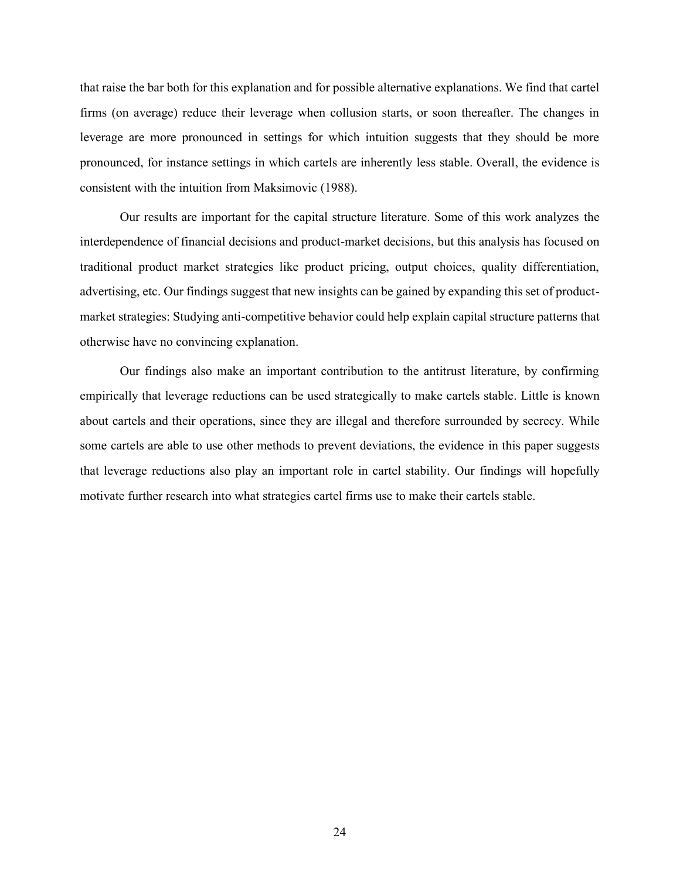that raise the bar both for this explanation and for possible alternative explanations. We find that cartel firms (on average) reduce their leverage when collusion starts, or soon thereafter. The changes in leverage are more pronounced in settings for which intuition suggests that they should be more pronounced, for instance settings in which cartels are inherently less stable. Overall, the evidence is consistent with the intuition from Maksimovic (1988).

Our results are important for the capital structure literature. Some of this work analyzes the interdependence of financial decisions and product-market decisions, but this analysis has focused on traditional product market strategies like product pricing, output choices, quality differentiation, advertising, etc. Our findings suggest that new insights can be gained by expanding this set of productmarket strategies: Studying anti-competitive behavior could help explain capital structure patterns that otherwise have no convincing explanation.

Our findings also make an important contribution to the antitrust literature, by confirming empirically that leverage reductions can be used strategically to make cartels stable. Little is known about cartels and their operations, since they are illegal and therefore surrounded by secrecy. While some cartels are able to use other methods to prevent deviations, the evidence in this paper suggests that leverage reductions also play an important role in cartel stability. Our findings will hopefully motivate further research into what strategies cartel firms use to make their cartels stable.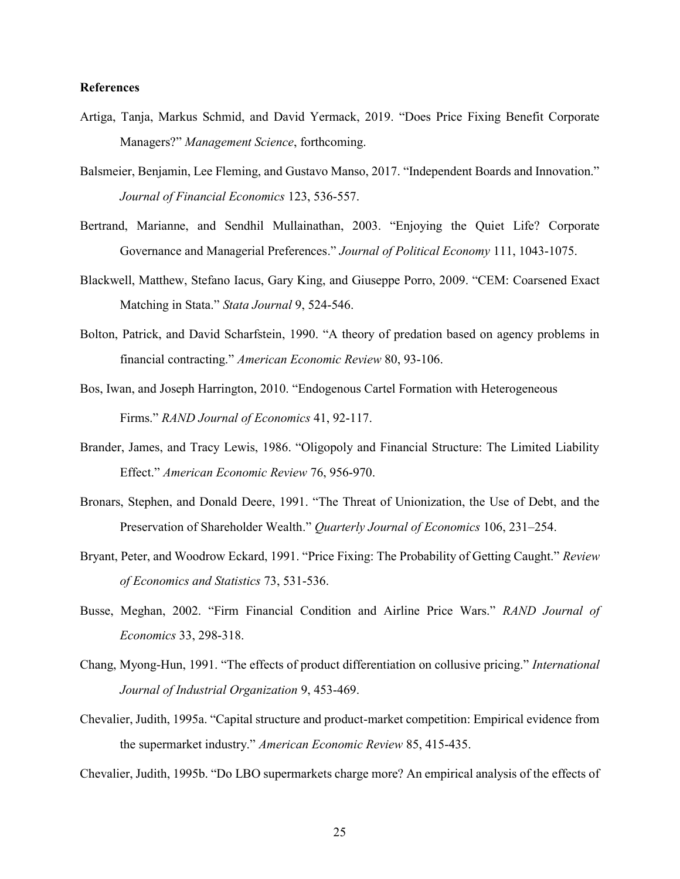#### **References**

- Artiga, Tanja, Markus Schmid, and David Yermack, 2019. "Does Price Fixing Benefit Corporate Managers?" *Management Science*, forthcoming.
- Balsmeier, Benjamin, Lee Fleming, and Gustavo Manso, 2017. "Independent Boards and Innovation." *Journal of Financial Economics* 123, 536-557.
- Bertrand, Marianne, and Sendhil Mullainathan, 2003. "Enjoying the Quiet Life? Corporate Governance and Managerial Preferences." *Journal of Political Economy* 111, 1043-1075.
- Blackwell, Matthew, Stefano Iacus, Gary King, and Giuseppe Porro, 2009. "CEM: Coarsened Exact Matching in Stata." *Stata Journal* 9, 524-546.
- Bolton, Patrick, and David Scharfstein, 1990. "A theory of predation based on agency problems in financial contracting." *American Economic Review* 80, 93-106.
- Bos, Iwan, and Joseph Harrington, 2010. "Endogenous Cartel Formation with Heterogeneous Firms." *RAND Journal of Economics* 41, 92-117.
- Brander, James, and Tracy Lewis, 1986. "Oligopoly and Financial Structure: The Limited Liability Effect." *American Economic Review* 76, 956-970.
- Bronars, Stephen, and Donald Deere, 1991. "The Threat of Unionization, the Use of Debt, and the Preservation of Shareholder Wealth." *Quarterly Journal of Economics* 106, 231–254.
- Bryant, Peter, and Woodrow Eckard, 1991. "Price Fixing: The Probability of Getting Caught." *Review of Economics and Statistics* 73, 531-536.
- Busse, Meghan, 2002. "Firm Financial Condition and Airline Price Wars." *RAND Journal of Economics* 33, 298-318.
- Chang, Myong-Hun, 1991. "The effects of product differentiation on collusive pricing." *International Journal of Industrial Organization* 9, 453-469.
- Chevalier, Judith, 1995a. "Capital structure and product-market competition: Empirical evidence from the supermarket industry." *American Economic Review* 85, 415-435.

Chevalier, Judith, 1995b. "Do LBO supermarkets charge more? An empirical analysis of the effects of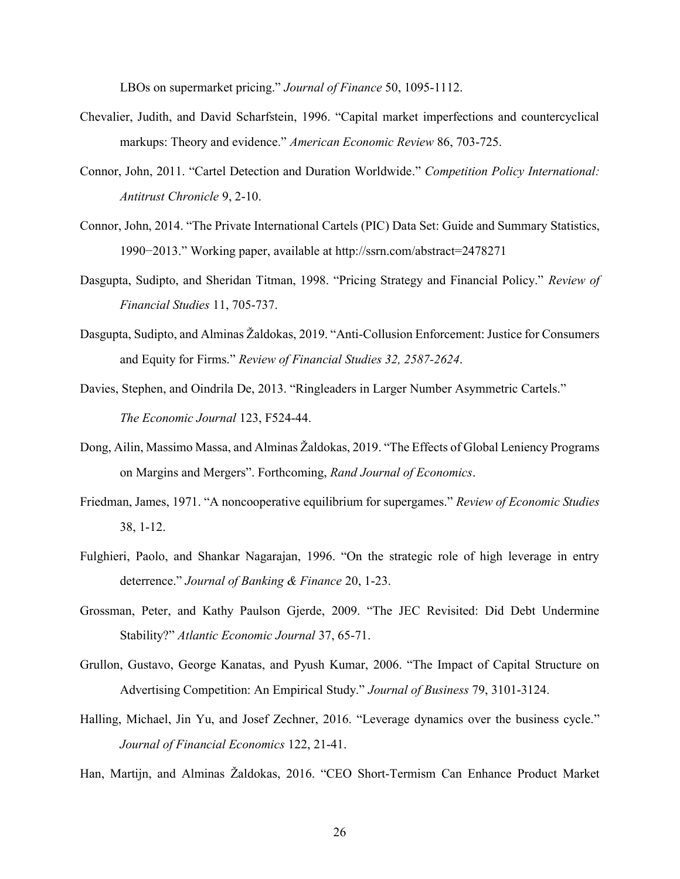LBOs on supermarket pricing." *Journal of Finance* 50, 1095-1112.

- Chevalier, Judith, and David Scharfstein, 1996. "Capital market imperfections and countercyclical markups: Theory and evidence." *American Economic Review* 86, 703-725.
- Connor, John, 2011. "Cartel Detection and Duration Worldwide." *Competition Policy International: Antitrust Chronicle* 9, 2-10.
- Connor, John, 2014. "The Private International Cartels (PIC) Data Set: Guide and Summary Statistics, 1990−2013." Working paper, available at http://ssrn.com/abstract=2478271
- Dasgupta, Sudipto, and Sheridan Titman, 1998. "Pricing Strategy and Financial Policy." *Review of Financial Studies* 11, 705-737.
- Dasgupta, Sudipto, and Alminas Žaldokas, 2019. "Anti-Collusion Enforcement: Justice for Consumers and Equity for Firms." *Review of Financial Studies 32, 2587-2624*.
- Davies, Stephen, and Oindrila De, 2013. "Ringleaders in Larger Number Asymmetric Cartels." *The Economic Journal* 123, F524-44.
- Dong, Ailin, Massimo Massa, and Alminas Žaldokas, 2019. "The Effects of Global Leniency Programs on Margins and Mergers". Forthcoming, *Rand Journal of Economics*.
- Friedman, James, 1971. "A noncooperative equilibrium for supergames." *Review of Economic Studies* 38, 1-12.
- Fulghieri, Paolo, and Shankar Nagarajan, 1996. "On the strategic role of high leverage in entry deterrence." *Journal of Banking & Finance* 20, 1-23.
- Grossman, Peter, and Kathy Paulson Gjerde, 2009. "The JEC Revisited: Did Debt Undermine Stability?" *Atlantic Economic Journal* 37, 65-71.
- Grullon, Gustavo, George Kanatas, and Pyush Kumar, 2006. "The Impact of Capital Structure on Advertising Competition: An Empirical Study." *Journal of Business* 79, 3101-3124.
- Halling, Michael, Jin Yu, and Josef Zechner, 2016. "Leverage dynamics over the business cycle." *Journal of Financial Economics* 122, 21-41.
- Han, Martijn, and Alminas Žaldokas, 2016. "CEO Short-Termism Can Enhance Product Market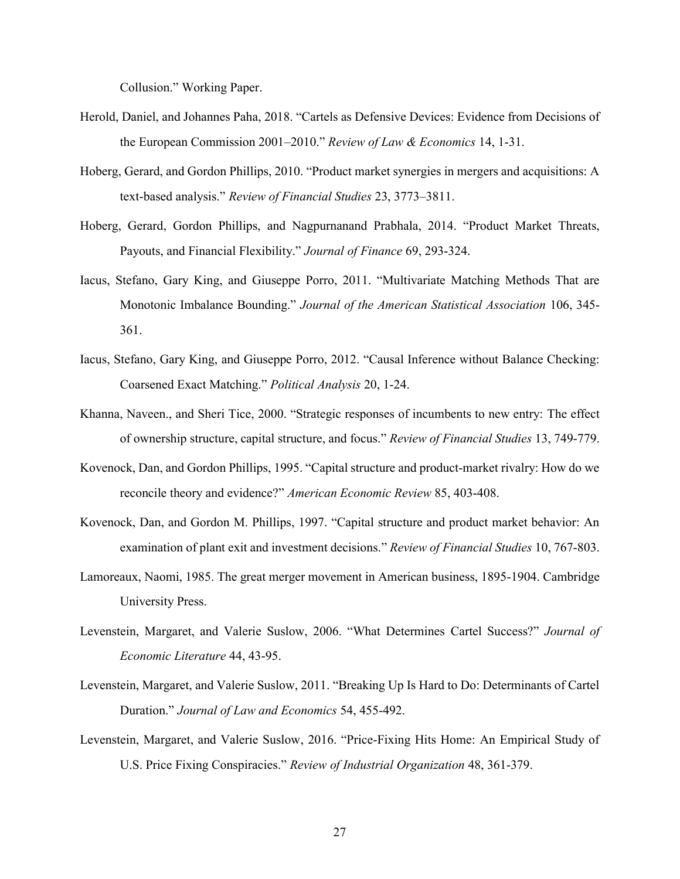Collusion." Working Paper.

- Herold, Daniel, and Johannes Paha, 2018. "Cartels as Defensive Devices: Evidence from Decisions of the European Commission 2001–2010." *Review of Law & Economics* 14, 1-31.
- Hoberg, Gerard, and Gordon Phillips, 2010. "Product market synergies in mergers and acquisitions: A text-based analysis." *Review of Financial Studies* 23, 3773–3811.
- Hoberg, Gerard, Gordon Phillips, and Nagpurnanand Prabhala, 2014. "Product Market Threats, Payouts, and Financial Flexibility." *Journal of Finance* 69, 293-324.
- Iacus, Stefano, Gary King, and Giuseppe Porro, 2011. "Multivariate Matching Methods That are Monotonic Imbalance Bounding." *Journal of the American Statistical Association* 106, 345- 361.
- Iacus, Stefano, Gary King, and Giuseppe Porro, 2012. "Causal Inference without Balance Checking: Coarsened Exact Matching." *Political Analysis* 20, 1-24.
- Khanna, Naveen., and Sheri Tice, 2000. "Strategic responses of incumbents to new entry: The effect of ownership structure, capital structure, and focus." *Review of Financial Studies* 13, 749-779.
- Kovenock, Dan, and Gordon Phillips, 1995. "Capital structure and product-market rivalry: How do we reconcile theory and evidence?" *American Economic Review* 85, 403-408.
- Kovenock, Dan, and Gordon M. Phillips, 1997. "Capital structure and product market behavior: An examination of plant exit and investment decisions." *Review of Financial Studies* 10, 767-803.
- Lamoreaux, Naomi, 1985. The great merger movement in American business, 1895-1904. Cambridge University Press.
- Levenstein, Margaret, and Valerie Suslow, 2006. "What Determines Cartel Success?" *Journal of Economic Literature* 44, 43-95.
- Levenstein, Margaret, and Valerie Suslow, 2011. "Breaking Up Is Hard to Do: Determinants of Cartel Duration." *Journal of Law and Economics* 54, 455-492.
- Levenstein, Margaret, and Valerie Suslow, 2016. "Price-Fixing Hits Home: An Empirical Study of U.S. Price Fixing Conspiracies." *Review of Industrial Organization* 48, 361-379.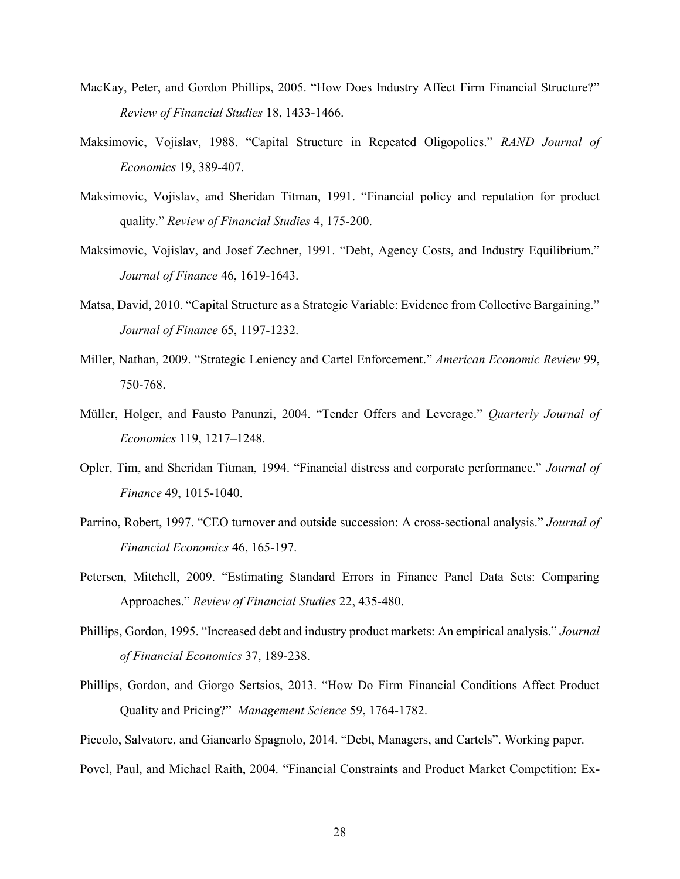- MacKay, Peter, and Gordon Phillips, 2005. "How Does Industry Affect Firm Financial Structure?" *Review of Financial Studies* 18, 1433-1466.
- Maksimovic, Vojislav, 1988. "Capital Structure in Repeated Oligopolies." *RAND Journal of Economics* 19, 389-407.
- Maksimovic, Vojislav, and Sheridan Titman, 1991. "Financial policy and reputation for product quality." *Review of Financial Studies* 4, 175-200.
- Maksimovic, Vojislav, and Josef Zechner, 1991. "Debt, Agency Costs, and Industry Equilibrium." *Journal of Finance* 46, 1619-1643.
- Matsa, David, 2010. "Capital Structure as a Strategic Variable: Evidence from Collective Bargaining." *Journal of Finance* 65, 1197-1232.
- Miller, Nathan, 2009. "Strategic Leniency and Cartel Enforcement." *American Economic Review* 99, 750-768.
- Müller, Holger, and Fausto Panunzi, 2004. "Tender Offers and Leverage." *Quarterly Journal of Economics* 119, 1217–1248.
- Opler, Tim, and Sheridan Titman, 1994. "Financial distress and corporate performance." *Journal of Finance* 49, 1015-1040.
- Parrino, Robert, 1997. "CEO turnover and outside succession: A cross-sectional analysis." *Journal of Financial Economics* 46, 165-197.
- Petersen, Mitchell, 2009. "Estimating Standard Errors in Finance Panel Data Sets: Comparing Approaches." *Review of Financial Studies* 22, 435-480.
- Phillips, Gordon, 1995. "Increased debt and industry product markets: An empirical analysis." *Journal of Financial Economics* 37, 189-238.
- Phillips, Gordon, and Giorgo Sertsios, 2013. "How Do Firm Financial Conditions Affect Product Quality and Pricing?" *Management Science* 59, 1764-1782.

Piccolo, Salvatore, and Giancarlo Spagnolo, 2014. "Debt, Managers, and Cartels". Working paper.

Povel, Paul, and Michael Raith, 2004. "Financial Constraints and Product Market Competition: Ex-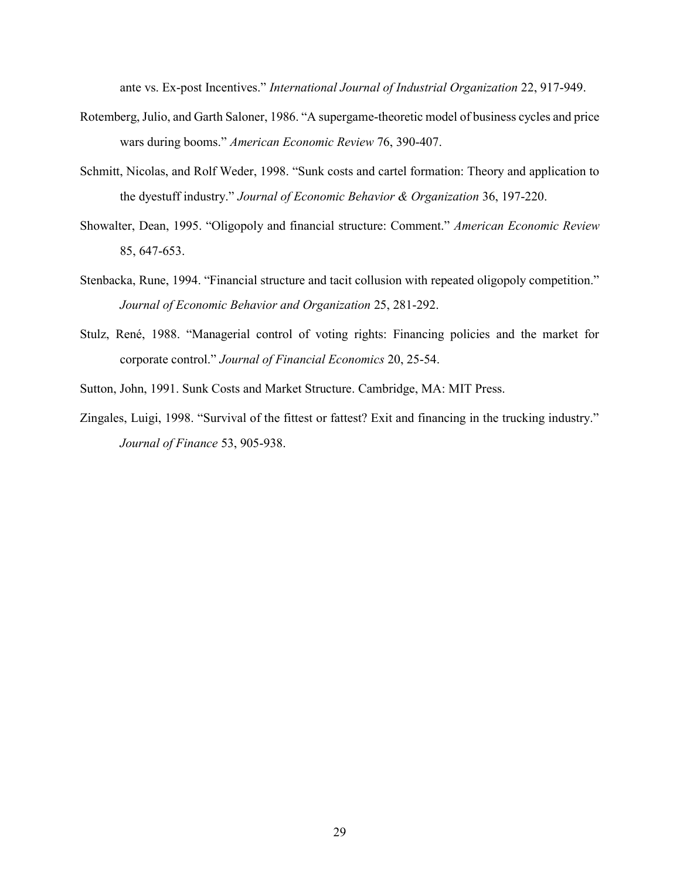ante vs. Ex-post Incentives." *International Journal of Industrial Organization* 22, 917-949.

- Rotemberg, Julio, and Garth Saloner, 1986. "A supergame-theoretic model of business cycles and price wars during booms." *American Economic Review* 76, 390-407.
- Schmitt, Nicolas, and Rolf Weder, 1998. "Sunk costs and cartel formation: Theory and application to the dyestuff industry." *Journal of Economic Behavior & Organization* 36, 197-220.
- Showalter, Dean, 1995. "Oligopoly and financial structure: Comment." *American Economic Review* 85, 647-653.
- Stenbacka, Rune, 1994. "Financial structure and tacit collusion with repeated oligopoly competition." *Journal of Economic Behavior and Organization* 25, 281-292.
- Stulz, René, 1988. "Managerial control of voting rights: Financing policies and the market for corporate control." *Journal of Financial Economics* 20, 25-54.

Sutton, John, 1991. Sunk Costs and Market Structure. Cambridge, MA: MIT Press.

Zingales, Luigi, 1998. "Survival of the fittest or fattest? Exit and financing in the trucking industry." *Journal of Finance* 53, 905-938.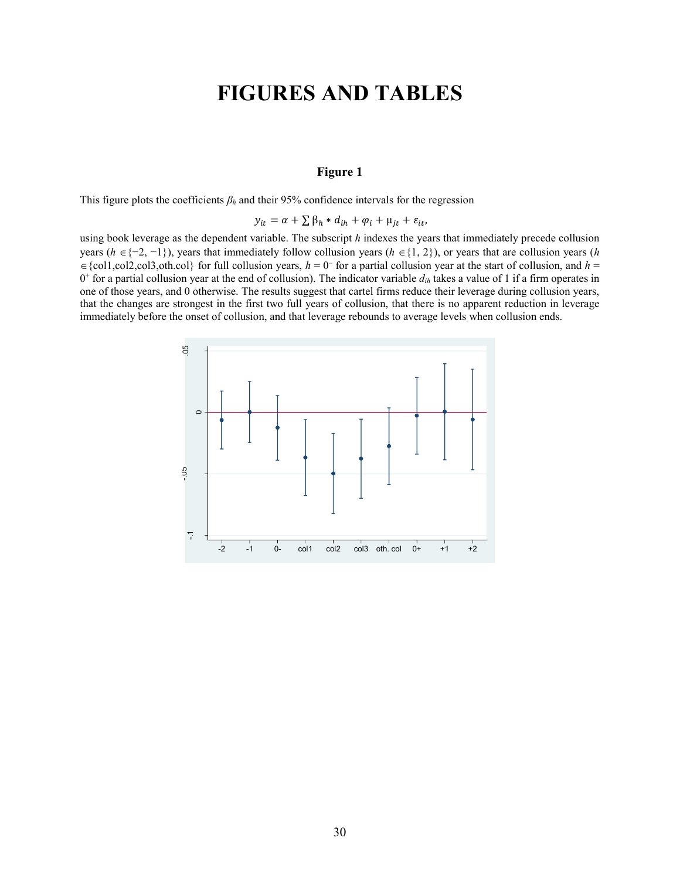# **FIGURES AND TABLES**

#### **Figure 1**

This figure plots the coefficients *β<sup>h</sup>* and their 95% confidence intervals for the regression

$$
y_{it} = \alpha + \sum \beta_h * d_{ih} + \varphi_i + \mu_{jt} + \varepsilon_{it},
$$

using book leverage as the dependent variable. The subscript *h* indexes the years that immediately precede collusion years (*h*  $\in$  {−2, −1}), years that immediately follow collusion years (*h*  $\in$  {1, 2}), or years that are collusion years (*h*  $\in$ {col1,col2,col3,oth.col} for full collusion years,  $h = 0^-$  for a partial collusion year at the start of collusion, and  $h =$  $0^+$  for a partial collusion year at the end of collusion). The indicator variable  $d_{ih}$  takes a value of 1 if a firm operates in one of those years, and 0 otherwise. The results suggest that cartel firms reduce their leverage during collusion years, that the changes are strongest in the first two full years of collusion, that there is no apparent reduction in leverage immediately before the onset of collusion, and that leverage rebounds to average levels when collusion ends.

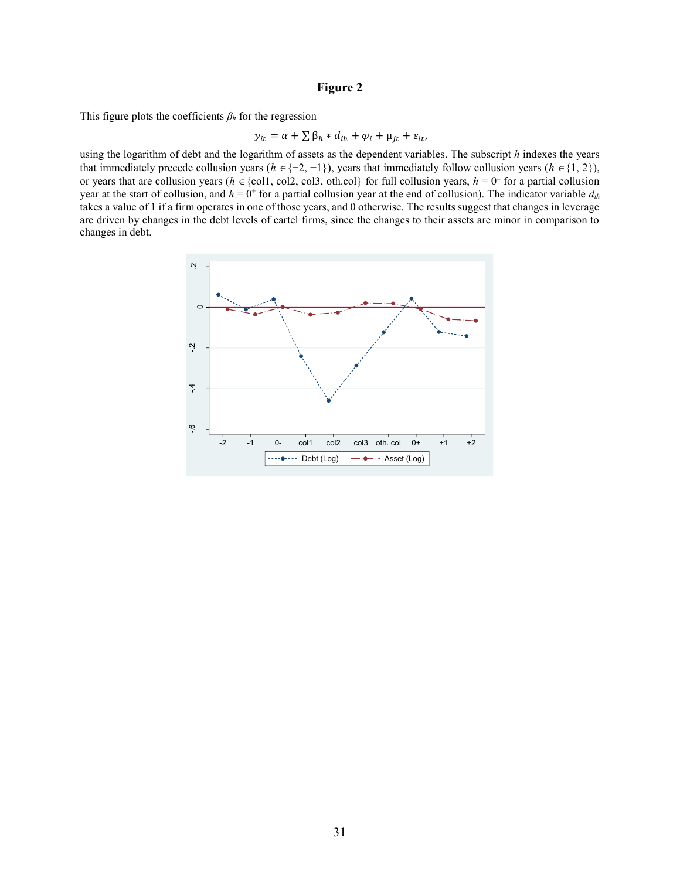#### **Figure 2**

This figure plots the coefficients *β<sup>h</sup>* for the regression

$$
y_{it} = \alpha + \sum \beta_h * d_{ih} + \varphi_i + \mu_{jt} + \varepsilon_{it},
$$

using the logarithm of debt and the logarithm of assets as the dependent variables. The subscript *h* indexes the years that immediately precede collusion years ( $h \in \{-2, -1\}$ ), years that immediately follow collusion years ( $h \in \{1, 2\}$ ), or years that are collusion years ( $h \in \{col1, col2, col3, oth.col\}$  for full collusion years,  $h = 0^-$  for a partial collusion year at the start of collusion, and  $h = 0^+$  for a partial collusion year at the end of collusion). The indicator variable  $d_{ih}$ takes a value of 1 if a firm operates in one of those years, and 0 otherwise. The results suggest that changes in leverage are driven by changes in the debt levels of cartel firms, since the changes to their assets are minor in comparison to changes in debt.

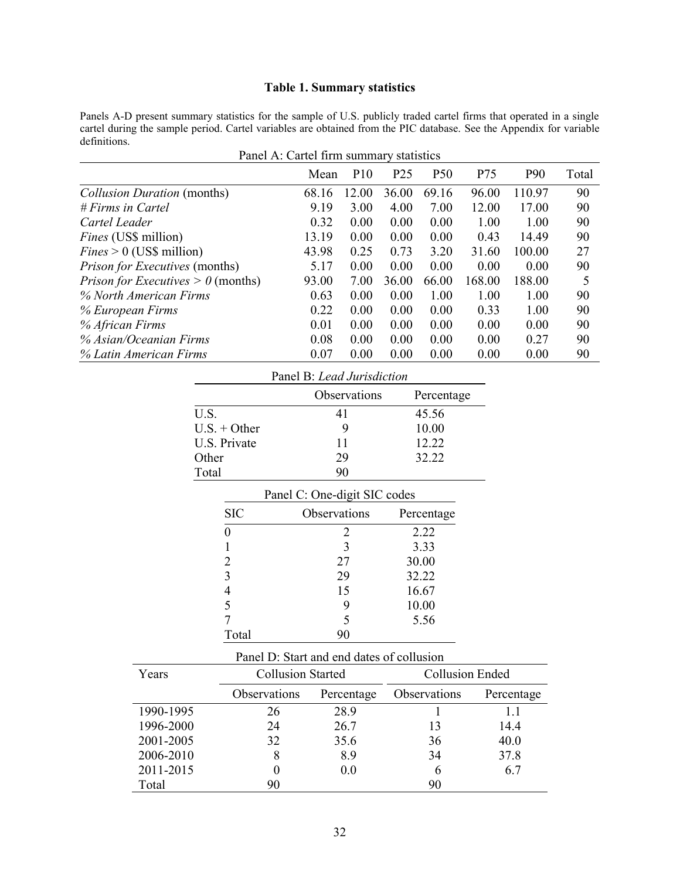### **Table 1. Summary statistics**

Panels A-D present summary statistics for the sample of U.S. publicly traded cartel firms that operated in a single cartel during the sample period. Cartel variables are obtained from the PIC database. See the Appendix for variable definitions.  $\text{Donald } \Lambda \cdot \text{Certal firm summary statistic}$ 

| Panel A: Cartel firm summary statistics     |       |            |                 |                 |        |        |       |
|---------------------------------------------|-------|------------|-----------------|-----------------|--------|--------|-------|
|                                             | Mean  | <b>P10</b> | P <sub>25</sub> | P <sub>50</sub> | P75    | P90    | Total |
| <i>Collusion Duration</i> (months)          | 68.16 | 12.00      | 36.00           | 69.16           | 96.00  | 110.97 | 90    |
| $# Firms$ in Cartel                         | 9.19  | 3.00       | 4.00            | 7.00            | 12.00  | 17.00  | 90    |
| Cartel Leader                               | 0.32  | 0.00       | 0.00            | 0.00            | 1.00   | 1.00   | 90    |
| <i>Fines</i> (US\$ million)                 | 13.19 | 0.00       | 0.00            | 0.00            | 0.43   | 14.49  | 90    |
| $Fines > 0$ (US\$ million)                  | 43.98 | 0.25       | 0.73            | 3.20            | 31.60  | 100.00 | 27    |
| <i>Prison for Executives</i> (months)       | 5.17  | 0.00       | 0.00            | 0.00            | 0.00   | 0.00   | 90    |
| <i>Prison for Executives</i> $> 0$ (months) | 93.00 | 7.00       | 36.00           | 66.00           | 168.00 | 188.00 | 5     |
| % North American Firms                      | 0.63  | 0.00       | 0.00            | 1.00            | 1.00   | 1.00   | 90    |
| % European Firms                            | 0.22  | 0.00       | 0.00            | 0.00            | 0.33   | 1.00   | 90    |
| % African Firms                             | 0.01  | 0.00       | 0.00            | 0.00            | 0.00   | 0.00   | 90    |
| % Asian/Oceanian Firms                      | 0.08  | 0.00       | 0.00            | 0.00            | 0.00   | 0.27   | 90    |
| % Latin American Firms                      | 0.07  | 0.00       | 0.00            | 0.00            | 0.00   | 0.00   | 90    |

|                | Panel B: Lead Jurisdiction |                                           |                        |      |  |  |
|----------------|----------------------------|-------------------------------------------|------------------------|------|--|--|
|                |                            | Observations                              | Percentage             |      |  |  |
| U.S.           |                            | 41                                        | 45.56                  |      |  |  |
| $U.S. + Other$ |                            | 9                                         | 10.00                  |      |  |  |
| U.S. Private   |                            | 11                                        | 12.22                  |      |  |  |
| Other          |                            | 29                                        | 32.22                  |      |  |  |
| Total          |                            | 90                                        |                        |      |  |  |
|                |                            | Panel C: One-digit SIC codes              |                        |      |  |  |
|                | <b>SIC</b>                 | Observations                              | Percentage             |      |  |  |
| 0              |                            | $\overline{2}$                            | 2.22                   |      |  |  |
|                |                            | 3                                         | 3.33                   |      |  |  |
| 2              |                            | 27                                        | 30.00                  |      |  |  |
| 3              |                            | 29                                        | 32.22                  |      |  |  |
| 4              |                            | 15                                        | 16.67                  |      |  |  |
| 5              |                            | 9                                         | 10.00                  |      |  |  |
| $\overline{7}$ |                            | 5                                         | 5.56                   |      |  |  |
|                | Total                      | 90                                        |                        |      |  |  |
|                |                            | Panel D: Start and end dates of collusion |                        |      |  |  |
|                | <b>Collusion Started</b>   |                                           | <b>Collusion Ended</b> |      |  |  |
|                | Observations               | Percentage                                | Observations           | Perc |  |  |

| 1 vui v   |              |            | $\sim$ 0.11 $\mu$ 0.10 $\mu$ 1.11 $\mu$ 0.11 $\mu$ |            |
|-----------|--------------|------------|----------------------------------------------------|------------|
|           | Observations | Percentage | Observations                                       | Percentage |
| 1990-1995 | 26           | 28.9       |                                                    |            |
| 1996-2000 | 24           | 26.7       | 13                                                 | 14.4       |
| 2001-2005 | 32           | 35.6       | 36                                                 | 40.0       |
| 2006-2010 |              | 8.9        | 34                                                 | 37.8       |
| 2011-2015 |              | 0.0        | h                                                  | 6.7        |
| Total     | 90           |            | 90                                                 |            |
|           |              |            |                                                    |            |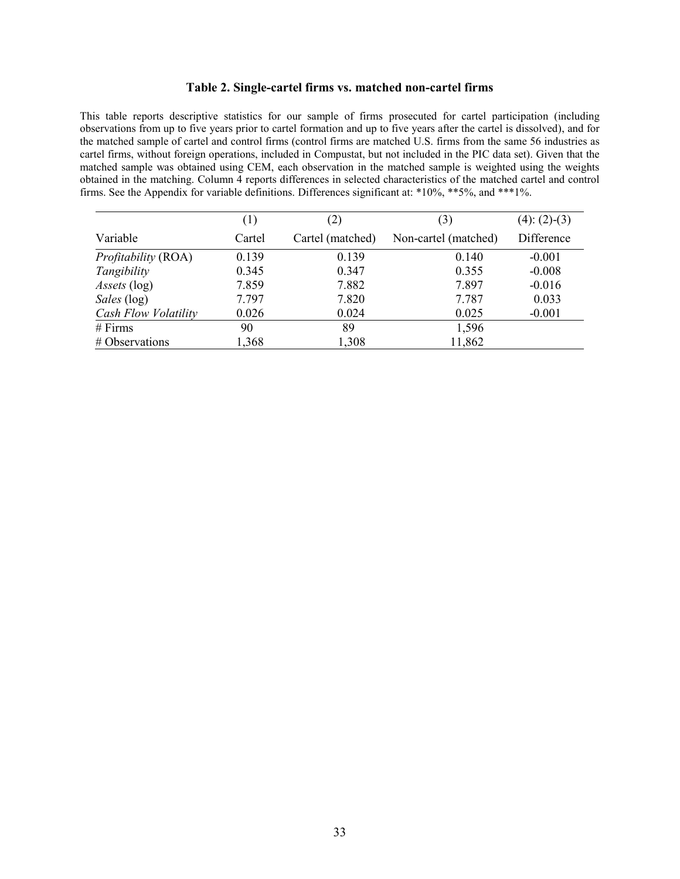#### **Table 2. Single-cartel firms vs. matched non-cartel firms**

This table reports descriptive statistics for our sample of firms prosecuted for cartel participation (including observations from up to five years prior to cartel formation and up to five years after the cartel is dissolved), and for the matched sample of cartel and control firms (control firms are matched U.S. firms from the same 56 industries as cartel firms, without foreign operations, included in Compustat, but not included in the PIC data set). Given that the matched sample was obtained using CEM, each observation in the matched sample is weighted using the weights obtained in the matching. Column 4 reports differences in selected characteristics of the matched cartel and control firms. See the Appendix for variable definitions. Differences significant at: \*10%, \*\*5%, and \*\*\*1%.

|                      | (1)    | (2)              | (3)                  | $(4)$ : $(2)-(3)$ |
|----------------------|--------|------------------|----------------------|-------------------|
| Variable             | Cartel | Cartel (matched) | Non-cartel (matched) | Difference        |
| Profitability (ROA)  | 0.139  | 0.139            | 0.140                | $-0.001$          |
| Tangibility          | 0.345  | 0.347            | 0.355                | $-0.008$          |
| <i>Assets</i> (log)  | 7.859  | 7.882            | 7.897                | $-0.016$          |
| <i>Sales</i> (log)   | 7.797  | 7.820            | 7.787                | 0.033             |
| Cash Flow Volatility | 0.026  | 0.024            | 0.025                | $-0.001$          |
| $#$ Firms            | 90     | 89               | 1,596                |                   |
| # Observations       | 1,368  | 1,308            | 11,862               |                   |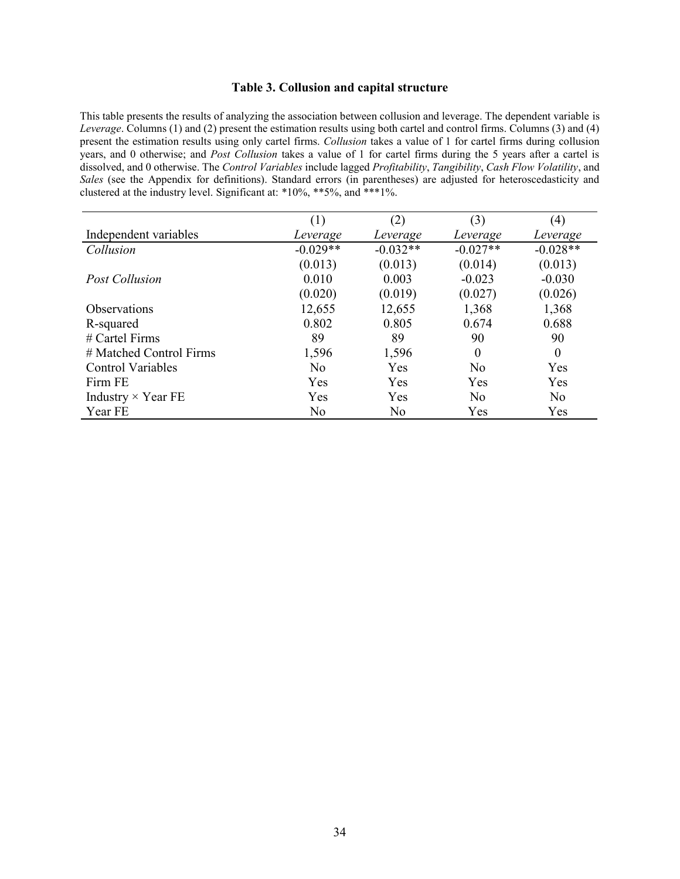#### **Table 3. Collusion and capital structure**

This table presents the results of analyzing the association between collusion and leverage. The dependent variable is *Leverage*. Columns (1) and (2) present the estimation results using both cartel and control firms. Columns (3) and (4) present the estimation results using only cartel firms. *Collusion* takes a value of 1 for cartel firms during collusion years, and 0 otherwise; and *Post Collusion* takes a value of 1 for cartel firms during the 5 years after a cartel is dissolved, and 0 otherwise. The *Control Variables* include lagged *Profitability*, *Tangibility*, *Cash Flow Volatility*, and *Sales* (see the Appendix for definitions). Standard errors (in parentheses) are adjusted for heteroscedasticity and clustered at the industry level. Significant at: \*10%, \*\*5%, and \*\*\*1%.

|                           | (1)        | (2)        | (3)            | (4)            |
|---------------------------|------------|------------|----------------|----------------|
| Independent variables     | Leverage   | Leverage   | Leverage       | Leverage       |
| Collusion                 | $-0.029**$ | $-0.032**$ | $-0.027**$     | $-0.028**$     |
|                           | (0.013)    | (0.013)    | (0.014)        | (0.013)        |
| <b>Post Collusion</b>     | 0.010      | 0.003      | $-0.023$       | $-0.030$       |
|                           | (0.020)    | (0.019)    | (0.027)        | (0.026)        |
| Observations              | 12,655     | 12,655     | 1,368          | 1,368          |
| R-squared                 | 0.802      | 0.805      | 0.674          | 0.688          |
| $\#$ Cartel Firms         | 89         | 89         | 90             | 90             |
| # Matched Control Firms   | 1,596      | 1,596      | $\theta$       | $\theta$       |
| <b>Control Variables</b>  | No         | Yes        | No             | Yes            |
| Firm FE                   | Yes        | Yes        | Yes            | Yes            |
| Industry $\times$ Year FE | Yes        | Yes        | N <sub>0</sub> | N <sub>o</sub> |
| Year FE                   | No         | No         | Yes            | Yes            |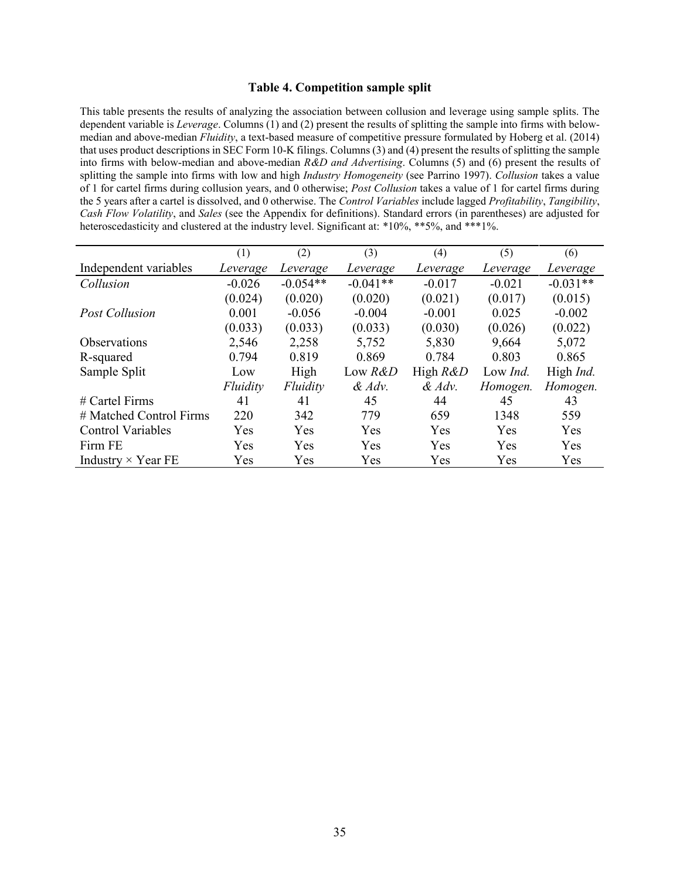#### **Table 4. Competition sample split**

This table presents the results of analyzing the association between collusion and leverage using sample splits. The dependent variable is *Leverage*. Columns (1) and (2) present the results of splitting the sample into firms with belowmedian and above-median *Fluidity*, a text-based measure of competitive pressure formulated by Hoberg et al. (2014) that uses product descriptions in SEC Form 10-K filings. Columns (3) and (4) present the results of splitting the sample into firms with below-median and above-median *R&D and Advertising*. Columns (5) and (6) present the results of splitting the sample into firms with low and high *Industry Homogeneity* (see Parrino 1997). *Collusion* takes a value of 1 for cartel firms during collusion years, and 0 otherwise; *Post Collusion* takes a value of 1 for cartel firms during the 5 years after a cartel is dissolved, and 0 otherwise. The *Control Variables* include lagged *Profitability*, *Tangibility*, *Cash Flow Volatility*, and *Sales* (see the Appendix for definitions). Standard errors (in parentheses) are adjusted for heteroscedasticity and clustered at the industry level. Significant at:  $*10\%$ ,  $**5\%$ , and  $***1\%$ .

|                           | (1)      | (2)        | (3)        | (4)        | (5)      | (6)        |
|---------------------------|----------|------------|------------|------------|----------|------------|
| Independent variables     | Leverage | Leverage   | Leverage   | Leverage   | Leverage | Leverage   |
| Collusion                 | $-0.026$ | $-0.054**$ | $-0.041**$ | $-0.017$   | $-0.021$ | $-0.031**$ |
|                           | (0.024)  | (0.020)    | (0.020)    | (0.021)    | (0.017)  | (0.015)    |
| <b>Post Collusion</b>     | 0.001    | $-0.056$   | $-0.004$   | $-0.001$   | 0.025    | $-0.002$   |
|                           | (0.033)  | (0.033)    | (0.033)    | (0.030)    | (0.026)  | (0.022)    |
| <b>Observations</b>       | 2,546    | 2,258      | 5,752      | 5,830      | 9,664    | 5,072      |
| R-squared                 | 0.794    | 0.819      | 0.869      | 0.784      | 0.803    | 0.865      |
| Sample Split              | Low      | High       | Low R&D    | High $R&D$ | Low Ind. | High Ind.  |
|                           | Fluidity | Fluidity   | $\&$ Adv.  | $\&$ Adv.  | Homogen. | Homogen.   |
| $#$ Cartel Firms          | 41       | 41         | 45         | 44         | 45       | 43         |
| # Matched Control Firms   | 220      | 342        | 779        | 659        | 1348     | 559        |
| <b>Control Variables</b>  | Yes      | Yes        | Yes        | Yes        | Yes      | Yes        |
| Firm FE                   | Yes      | Yes        | Yes        | Yes        | Yes      | Yes        |
| Industry $\times$ Year FE | Yes      | Yes        | Yes        | Yes        | Yes      | Yes        |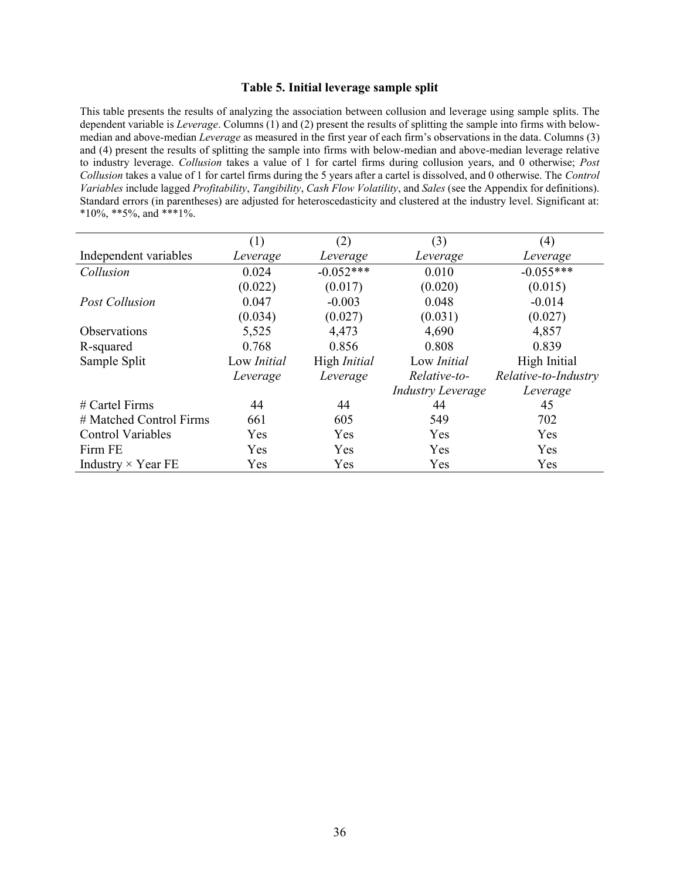#### **Table 5. Initial leverage sample split**

This table presents the results of analyzing the association between collusion and leverage using sample splits. The dependent variable is *Leverage*. Columns (1) and (2) present the results of splitting the sample into firms with belowmedian and above-median *Leverage* as measured in the first year of each firm's observations in the data. Columns (3) and (4) present the results of splitting the sample into firms with below-median and above-median leverage relative to industry leverage. *Collusion* takes a value of 1 for cartel firms during collusion years, and 0 otherwise; *Post Collusion* takes a value of 1 for cartel firms during the 5 years after a cartel is dissolved, and 0 otherwise. The *Control Variables* include lagged *Profitability*, *Tangibility*, *Cash Flow Volatility*, and *Sales* (see the Appendix for definitions). Standard errors (in parentheses) are adjusted for heteroscedasticity and clustered at the industry level. Significant at: \*10%, \*\*5%, and \*\*\*1%.

|                           | (1)                | (2)                 | (3)                      | (4)                  |
|---------------------------|--------------------|---------------------|--------------------------|----------------------|
| Independent variables     | Leverage           | Leverage            | Leverage                 | Leverage             |
| Collusion                 | 0.024              | $-0.052***$         | 0.010                    | $-0.055***$          |
|                           | (0.022)            | (0.017)             | (0.020)                  | (0.015)              |
| <b>Post Collusion</b>     | 0.047              | $-0.003$            | 0.048                    | $-0.014$             |
|                           | (0.034)            | (0.027)             | (0.031)                  | (0.027)              |
| <b>Observations</b>       | 5,525              | 4,473               | 4,690                    | 4,857                |
| R-squared                 | 0.768              | 0.856               | 0.808                    | 0.839                |
| Sample Split              | Low <i>Initial</i> | High <i>Initial</i> | Low <i>Initial</i>       | High Initial         |
|                           | Leverage           | Leverage            | Relative-to-             | Relative-to-Industry |
|                           |                    |                     | <b>Industry Leverage</b> | Leverage             |
| $#$ Cartel Firms          | 44                 | 44                  | 44                       | 45                   |
| # Matched Control Firms   | 661                | 605                 | 549                      | 702                  |
| <b>Control Variables</b>  | Yes                | Yes                 | Yes                      | Yes                  |
| Firm FE                   | Yes                | Yes                 | Yes                      | Yes                  |
| Industry $\times$ Year FE | Yes                | Yes                 | Yes                      | Yes                  |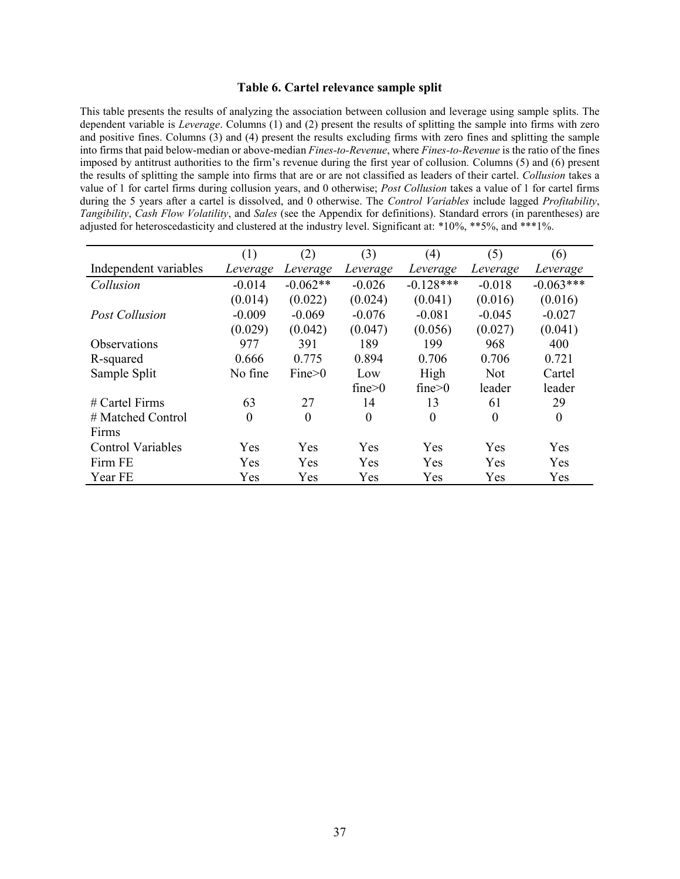#### **Table 6. Cartel relevance sample split**

This table presents the results of analyzing the association between collusion and leverage using sample splits. The dependent variable is *Leverage*. Columns (1) and (2) present the results of splitting the sample into firms with zero and positive fines. Columns (3) and (4) present the results excluding firms with zero fines and splitting the sample into firms that paid below-median or above-median *Fines-to-Revenue*, where *Fines-to-Revenue* is the ratio of the fines imposed by antitrust authorities to the firm's revenue during the first year of collusion*.* Columns (5) and (6) present the results of splitting the sample into firms that are or are not classified as leaders of their cartel. *Collusion* takes a value of 1 for cartel firms during collusion years, and 0 otherwise; *Post Collusion* takes a value of 1 for cartel firms during the 5 years after a cartel is dissolved, and 0 otherwise. The *Control Variables* include lagged *Profitability*, *Tangibility*, *Cash Flow Volatility*, and *Sales* (see the Appendix for definitions). Standard errors (in parentheses) are adjusted for heteroscedasticity and clustered at the industry level. Significant at: \*10%, \*\*5%, and \*\*\*1%.

|                          | (1)      | (2)        | (3)       | (4)         | (5)        | (6)         |
|--------------------------|----------|------------|-----------|-------------|------------|-------------|
| Independent variables    | Leverage | Leverage   | Leverage  | Leverage    | Leverage   | Leverage    |
| Collusion                | $-0.014$ | $-0.062**$ | $-0.026$  | $-0.128***$ | $-0.018$   | $-0.063***$ |
|                          | (0.014)  | (0.022)    | (0.024)   | (0.041)     | (0.016)    | (0.016)     |
| <b>Post Collusion</b>    | $-0.009$ | $-0.069$   | $-0.076$  | $-0.081$    | $-0.045$   | $-0.027$    |
|                          | (0.029)  | (0.042)    | (0.047)   | (0.056)     | (0.027)    | (0.041)     |
| Observations             | 977      | 391        | 189       | 199         | 968        | 400         |
| R-squared                | 0.666    | 0.775      | 0.894     | 0.706       | 0.706      | 0.721       |
| Sample Split             | No fine  | Fine>0     | Low       | High        | <b>Not</b> | Cartel      |
|                          |          |            | fine $>0$ | fine>0      | leader     | leader      |
| $#$ Cartel Firms         | 63       | 27         | 14        | 13          | 61         | 29          |
| # Matched Control        | $\theta$ | $\theta$   | $\theta$  | $\theta$    | $\theta$   | $\theta$    |
| Firms                    |          |            |           |             |            |             |
| <b>Control Variables</b> | Yes      | Yes        | Yes       | Yes         | Yes        | Yes         |
| Firm FE                  | Yes      | Yes        | Yes       | Yes         | Yes        | Yes         |
| Year FE                  | Yes      | Yes        | Yes       | Yes         | Yes        | Yes         |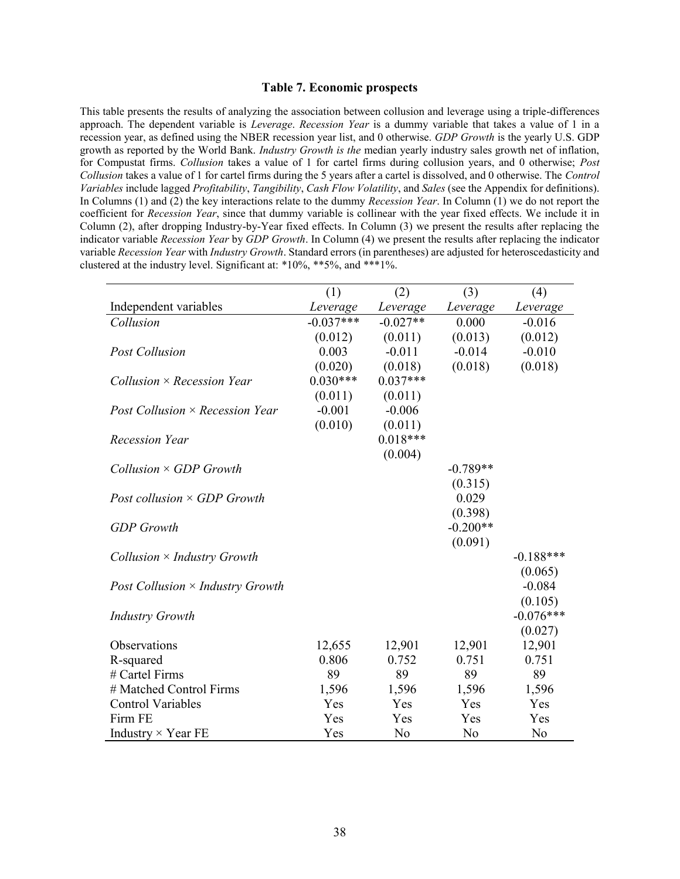#### **Table 7. Economic prospects**

This table presents the results of analyzing the association between collusion and leverage using a triple-differences approach. The dependent variable is *Leverage*. *Recession Year* is a dummy variable that takes a value of 1 in a recession year, as defined using the NBER recession year list, and 0 otherwise. *GDP Growth* is the yearly U.S. GDP growth as reported by the World Bank. *Industry Growth is the* median yearly industry sales growth net of inflation, for Compustat firms. *Collusion* takes a value of 1 for cartel firms during collusion years, and 0 otherwise; *Post Collusion* takes a value of 1 for cartel firms during the 5 years after a cartel is dissolved, and 0 otherwise. The *Control Variables* include lagged *Profitability*, *Tangibility*, *Cash Flow Volatility*, and *Sales* (see the Appendix for definitions). In Columns (1) and (2) the key interactions relate to the dummy *Recession Year*. In Column (1) we do not report the coefficient for *Recession Year*, since that dummy variable is collinear with the year fixed effects. We include it in Column (2), after dropping Industry-by-Year fixed effects. In Column (3) we present the results after replacing the indicator variable *Recession Year* by *GDP Growth*. In Column (4) we present the results after replacing the indicator variable *Recession Year* with *Industry Growth*. Standard errors (in parentheses) are adjusted for heteroscedasticity and clustered at the industry level. Significant at: \*10%, \*\*5%, and \*\*\*1%.

|                                         | (1)         | (2)        | (3)            | (4)         |
|-----------------------------------------|-------------|------------|----------------|-------------|
| Independent variables                   | Leverage    | Leverage   | Leverage       | Leverage    |
| Collusion                               | $-0.037***$ | $-0.027**$ | 0.000          | $-0.016$    |
|                                         | (0.012)     | (0.011)    | (0.013)        | (0.012)     |
| <b>Post Collusion</b>                   | 0.003       | $-0.011$   | $-0.014$       | $-0.010$    |
|                                         | (0.020)     | (0.018)    | (0.018)        | (0.018)     |
| Collusion $\times$ Recession Year       | $0.030***$  | $0.037***$ |                |             |
|                                         | (0.011)     | (0.011)    |                |             |
| Post Collusion $\times$ Recession Year  | $-0.001$    | $-0.006$   |                |             |
|                                         | (0.010)     | (0.011)    |                |             |
| <b>Recession Year</b>                   |             | $0.018***$ |                |             |
|                                         |             | (0.004)    |                |             |
| Collusion $\times$ GDP Growth           |             |            | $-0.789**$     |             |
|                                         |             |            | (0.315)        |             |
| Post collusion $\times$ GDP Growth      |             |            | 0.029          |             |
|                                         |             |            | (0.398)        |             |
| <b>GDP</b> Growth                       |             |            | $-0.200**$     |             |
|                                         |             |            | (0.091)        |             |
| Collusion $\times$ Industry Growth      |             |            |                | $-0.188***$ |
|                                         |             |            |                | (0.065)     |
| Post Collusion $\times$ Industry Growth |             |            |                | $-0.084$    |
|                                         |             |            |                | (0.105)     |
| <b>Industry Growth</b>                  |             |            |                | $-0.076***$ |
|                                         |             |            |                | (0.027)     |
| Observations                            | 12,655      | 12,901     | 12,901         | 12,901      |
| R-squared                               | 0.806       | 0.752      | 0.751          | 0.751       |
| # Cartel Firms                          | 89          | 89         | 89             | 89          |
| # Matched Control Firms                 | 1,596       | 1,596      | 1,596          | 1,596       |
| <b>Control Variables</b>                | Yes         | Yes        | Yes            | Yes         |
| Firm FE                                 | Yes         | Yes        | Yes            | Yes         |
| Industry $\times$ Year FE               | Yes         | No         | N <sub>o</sub> | No          |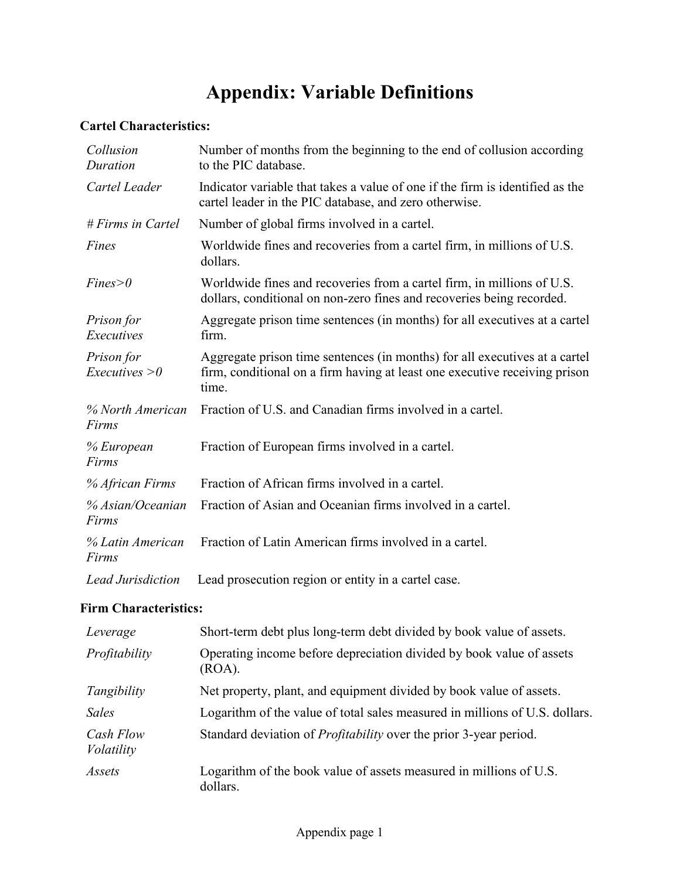# **Appendix: Variable Definitions**

## **Cartel Characteristics:**

| Collusion<br>Duration                | Number of months from the beginning to the end of collusion according<br>to the PIC database.                                                                     |
|--------------------------------------|-------------------------------------------------------------------------------------------------------------------------------------------------------------------|
| Cartel Leader                        | Indicator variable that takes a value of one if the firm is identified as the<br>cartel leader in the PIC database, and zero otherwise.                           |
| $# Firms$ in Cartel                  | Number of global firms involved in a cartel.                                                                                                                      |
| Fines                                | Worldwide fines and recoveries from a cartel firm, in millions of U.S.<br>dollars.                                                                                |
| Fines > 0                            | Worldwide fines and recoveries from a cartel firm, in millions of U.S.<br>dollars, conditional on non-zero fines and recoveries being recorded.                   |
| Prison for<br>Executives             | Aggregate prison time sentences (in months) for all executives at a cartel<br>firm.                                                                               |
| Prison for<br><i>Executives</i> $>0$ | Aggregate prison time sentences (in months) for all executives at a cartel<br>firm, conditional on a firm having at least one executive receiving prison<br>time. |
| % North American<br>Firms            | Fraction of U.S. and Canadian firms involved in a cartel.                                                                                                         |
| % European<br>Firms                  | Fraction of European firms involved in a cartel.                                                                                                                  |
| % African Firms                      | Fraction of African firms involved in a cartel.                                                                                                                   |
| % Asian/Oceanian<br>Firms            | Fraction of Asian and Oceanian firms involved in a cartel.                                                                                                        |
| % Latin American<br>Firms            | Fraction of Latin American firms involved in a cartel.                                                                                                            |
| <b>Lead Jurisdiction</b>             | Lead prosecution region or entity in a cartel case.                                                                                                               |

# **Firm Characteristics:**

| Leverage                | Short-term debt plus long-term debt divided by book value of assets.           |
|-------------------------|--------------------------------------------------------------------------------|
| Profitability           | Operating income before depreciation divided by book value of assets<br>(ROA). |
| Tangibility             | Net property, plant, and equipment divided by book value of assets.            |
| <b>Sales</b>            | Logarithm of the value of total sales measured in millions of U.S. dollars.    |
| Cash Flow<br>Volatility | Standard deviation of <i>Profitability</i> over the prior 3-year period.       |
| Assets                  | Logarithm of the book value of assets measured in millions of U.S.<br>dollars. |